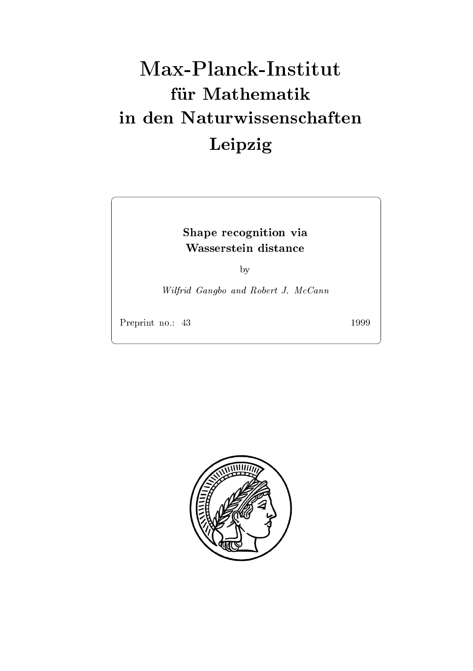# Max-Planck-Institut für Mathematik Leipzig

## shape recognition via the complete state of the contract of the contract of the contract of the contract of the

by

will be constructed and and resource and and resource of the Robert II McCannon and Robert II McCannon and Rob

Preprint no.: 43

1999

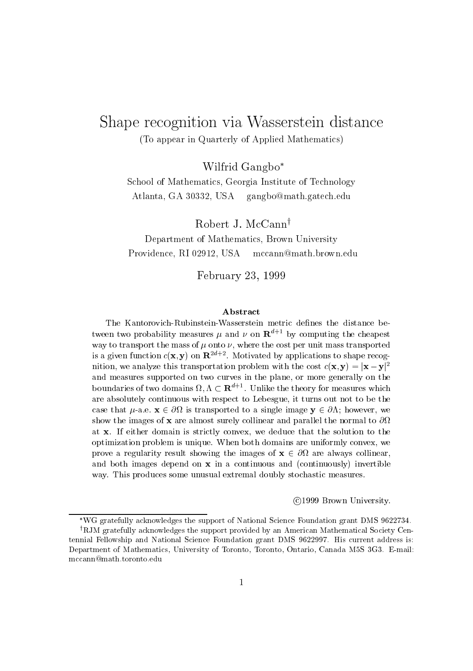### Shape recognition via Wasserstein distance To appear in Quarterly of Applied Mathematics

Wilfrid Gangbo

School of Mathematics- Georgia Institute of Technology Atlanta- GA gangbo@math.gatech.edu

Robert J. McCanny

Department of Mathematics- Brown University ri e contra la contra la contra la contra la contra la contra la contra la contra la contra la contra la contra mccann@math.brown.edu

February -

The KantorovichRubinsteinWasserstein metric denes the distance be tween two probability measures  $\mu$  and  $\nu$  on  ${\bf R}^{n+1}$  by computing the cheapest way to transport the mass of  $\mu$  onto  $\nu$ , where the cost per unit mass transported is a given function  $c(\mathbf{x}, \mathbf{y})$  on  $\mathbf{R}^{-n}$  . Motivated by applications to shape recognition, we analyze this transportation problem with the cost  $c(\mathbf{x},\mathbf{y}) = |\mathbf{x}-\mathbf{y}|^2$ and measures supported on two curves in the plane- or more generally on the boundaries of two domains  $\Omega$ ,  $\Lambda \subset \mathbf{R}^{n+1}$ . Unlike the theory for measures which are absolutely continuous with respect to Lebesgue- it turns out not to be thecase that  $\mu$ -a.e.  $\Lambda \subset U$  is transported to a single image  $y \subset U \Lambda$ , however, we show the images of x are almost surely collinear and parallel the normal to at as it domain domain is strictly contract. The solution that the solution to the solution optimization problem is unique When both domains are uniformly convex- weprove a regularity result showing the images of x - always collinearand both images depend on  $\alpha$  in a continuous and continuously invertible  $\alpha$  in a continuously in way. This produces some unusual extremal doubly stochastic measures.

(c)1999 DIOWH OHIVERSITY.

WG gratefully acknowledges the support of National Science Foundation grant DMS 9022734.

<sup>&</sup>lt;sup>†</sup>RJM gratefully acknowledges the support provided by an American Mathematical Society Centennial Fellowship and National Science Foundation grant DMS -- His current address is Department of Mathematics University of Toronto Toronto Ontario Canada M S G Email mccann@math.toronto.edu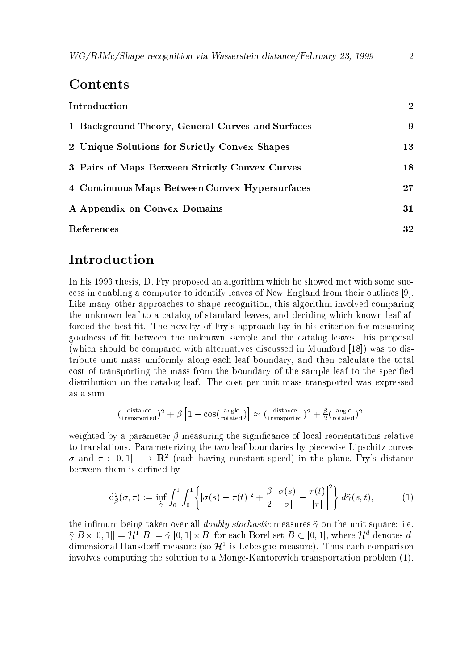### Contents

| Introduction                                     |    |  |
|--------------------------------------------------|----|--|
| 1 Background Theory, General Curves and Surfaces | 9  |  |
| 2 Unique Solutions for Strictly Convex Shapes    | 13 |  |
| 3 Pairs of Maps Between Strictly Convex Curves   | 18 |  |
| 4 Continuous Maps Between Convex Hypersurfaces   | 27 |  |
| A Appendix on Convex Domains                     | 31 |  |
| References                                       | 32 |  |

### Introduction

In thesis-based and thesis-based and thesis-based met with some successive met with some successive met with some successive met with some successive met with some successive met with some successive met with some successi cess in enabling a computer to identify leaves of New England from their outlines  Like many other approaches to shape recognition- this algorithm involved comparing the understandard leaf to a catalog of standard leaves-leave at the standard leaves-leaf after the standard le forded the best fit. The novelty of Fry's approach lay in his criterion for measuring goodness of fit between the unknown sample and the catalog leaves: his proposal (which should be compared with alternatives discussed in Mumford  $[18]$ ) was to distribute unit mass uniformly along each leaf boundary-then calculate the theories the total calculate the total cost of transporting the mass from the boundary of the sample leaf to the speci
ed distribution on the catalog leaf The cost per unit mass transported was expressed as a sum

$$
\left(\begin{smallmatrix} \text{distance} \\ \text{transported} \end{smallmatrix}\right)^2 + \beta \left[1 - \cos(\begin{smallmatrix} \text{angle} \\ \text{rotated} \end{smallmatrix})\right] \approx (\begin{smallmatrix} \text{distance} \\ \text{transported} \end{smallmatrix})^2 + \frac{\beta}{2}(\begin{smallmatrix} \text{angle} \\ \text{rotated} \end{smallmatrix})^2,
$$

weighted by a parameter  $\beta$  measuring the significance of local reorientations relative to translations. Parameterizing the two leaf boundaries by piecewise Lipschitz curves  $\sigma$  and  $\tau$  :  $|0,1| \longrightarrow K^*$  (each having constant speed) in the plane, rrys distance between them is defined by

$$
d_{\beta}^{2}(\sigma,\tau) := \inf_{\tilde{\gamma}} \int_{0}^{1} \int_{0}^{1} \left\{ |\sigma(s) - \tau(t)|^{2} + \frac{\beta}{2} \left| \frac{\dot{\sigma}(s)}{|\dot{\sigma}|} - \frac{\dot{\tau}(t)}{|\dot{\tau}|} \right|^{2} \right\} d\tilde{\gamma}(s,t), \tag{1}
$$

the infimum being taken over all *doubly stochastic* measures  $\tilde{\gamma}$  on the unit square: i.e.  $\gamma$   $B \times$  [0, 1] =  $\pi$  [B] =  $\gamma$  [10, 1]  $\times$  B i for each Borel set  $B \subset [0,1]$ , where  $\pi$  denotes adimensional Hausdorff measure (so  $\mathcal{H}^*$  is Lebesgue measure). Thus each comparison involves computing the solution to a monge measure that the solution problem  $\rho$  is the solution  $\rho$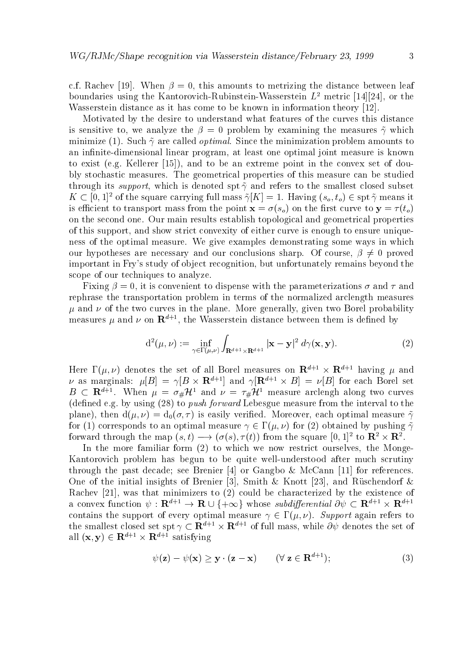che root and the state of the metrizing the distance between leaf the distance between leaf the distance betwe boundaries using the Kantorovich-Kubinstein-Wasserstein  $L^+$  metric  $[14][24]$ , or the Wasserstein distance as it has come to be known in information theory [12].

Motivated by the desire to understand what features of the curves this distance is sensitive to- we analyze the problem by examining the measures which minimize (1). Such  $\tilde{\gamma}$  are called *optimal*. Since the minimization problem amounts to and induced at an interesting at least one optimal is to a complete a programme process control one optimal is to exist the and to be an extreme point in the convex set of double and the convex set of double bly stochastic measures. The geometrical properties of this measure can be studied  $\mathbf{u}$  is denoted specifically in the smallest closed specifically subset  $\mathbf{u}$  $K \subseteq [0,1]$  of the square carrying full mass  $\gamma |K| = 1$ . Having  $(s_o, t_o) \in \text{spf } \gamma$  means it is ecient to transport mass from the point x -so on the 
rst curve to y to on the second one. Our main results establish topological and geometrical properties of this support- and show strict convexity of either curve is enough to ensure unique ness of the optimal measure. We give examples demonstrating some ways in which our hypotheses are necessary and our conclusions sharp Of course- proved important in Frys study of object recognition- but unfortunately remains beyond the scope of our techniques to analyze.

Fixing - it is convenient to dispense with the parameterizations - and and rephrase the transportation problem in terms of the normalized arclength measures and of the two curves in the plane More generally- given two Borel probability measures  $\mu$  and  $\nu$  on  ${\bf K}^{++}$ , the wasserstein distance between them is defined by

$$
d^{2}(\mu, \nu) := \inf_{\gamma \in \Gamma(\mu, \nu)} \int_{\mathbf{R}^{d+1} \times \mathbf{R}^{d+1}} |\mathbf{x} - \mathbf{y}|^{2} d\gamma(\mathbf{x}, \mathbf{y}). \tag{2}
$$

Here  $\Gamma(\mu, \nu)$  denotes the set of all Borel measures on  $\mathbf{R}^{d+1} \times \mathbf{R}^{d+1}$  having  $\mu$  and  $\nu$  as marginals:  $\mu[B] = \gamma[B \times \mathbf{R}^{d+1}]$  and  $\gamma[\mathbf{R}^{d+1} \times B] = \nu[B]$  for each Borel set  $B \subseteq \mathbf{R}^{n+1}$ . When  $\mu = \sigma_{\#} \mathcal{H}^{\perp}$  and  $\nu = \tau_{\#} \mathcal{H}^{\perp}$  measure arclengh along two curves (defined e.g. by using  $(28)$  to *push forward* Lebesgue measure from the interval to the plane-then d and d a silver-then d a silver-then d a silver-then d a silver-then d a silver-then d a silver-th for (1) corresponds to an optimal measure  $\gamma \in \Gamma(\mu, \nu)$  for (2) obtained by pushing  $\tilde{\gamma}$ forward through the map  $(s, t) \longrightarrow (o(s), \tau(t))$  from the square  $[0, 1]^-$  to  $\mathbb{R}^+ \times \mathbb{R}^+$ .

In the more familiar form to which we now restrict ourselves- the Monge Kantorovich problem has begun to be quite well understood after much scrutiny through the past decade; see Brenier [4] or Gangbo  $\&$  McCann [11] for references. One of the initial insights of Brenier - Smith Knott - and Ruschendorf . A construction of the existence of the existence of the existence of the existence of the existence of the existence of the existence of the existence of the existence of the existence of the existence of the existence a convex function  $\psi: \mathbf{R}^{n+1} \to \mathbf{R} \cup \{+\infty\}$  whose subargerential  $\partial \psi \subset \mathbf{R}^{n+1} \times \mathbf{R}^{n+1}$ contains the support of every optimal measure  $\gamma \in \Gamma(\mu, \nu)$ . Support again refers to the smallest closed set  $\text{spt} \gamma \subset \mathbf{R}^{n+1} \times \mathbf{R}^{n+1}$  of full mass, while  $\sigma \psi$  denotes the set of all  $(\mathbf{x}, \mathbf{y}) \in \mathbf{R}^{d+1} \times \mathbf{R}^{d+1}$  satisfying

$$
\psi(\mathbf{z}) - \psi(\mathbf{x}) \ge \mathbf{y} \cdot (\mathbf{z} - \mathbf{x}) \qquad (\forall \mathbf{z} \in \mathbf{R}^{d+1}); \tag{3}
$$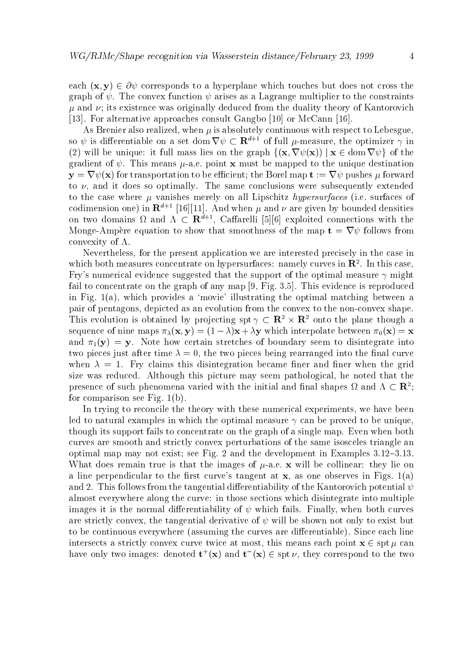each  $(\mathbf{x}, \mathbf{y}) \in \partial \psi$  corresponds to a hyperplane which touches but does not cross the graph of  $\psi$ . The convex function  $\psi$  arises as a Lagrange multiplier to the constraints  $\mu$  and  $\nu$ ; its existence was originally deduced from the duality theory of Kantorovich [13]. For alternative approaches consult Gangbo  $[10]$  or McCann  $[16]$ .

As Brenier also realized- when is absolutely continuous with respect to Lebesgueso  $\psi$  is differentiable on a set dom  $\mathbf{v} \psi \in \mathbf{R}^{n+1}$  of full  $\mu$ -measure, the optimizer  $\gamma$  in (2) will be unique: it full mass lies on the graph  $\{(\mathbf{x}, \nabla \psi(\mathbf{x})) \mid \mathbf{x} \in \text{dom } \nabla \psi\}$  of the  $\alpha$  measure to the matrix measure  $\mu$  must be mapped to the unique destination of the unique destination of  $\mu$  $y = \nabla \psi(x)$  for transportation to be efficient; the Borel map  $t := \nabla \psi$  pushes  $\mu$  forward to - and it does so optimally The same conclusions were subsequently extended to the case where  $\mu$  vanishes merely on all Lipschitz *hypersurfaces* (i.e. surfaces of codimension one) in  $\mathbb{R}^{d+1}$  [16][11]. And when  $\mu$  and  $\nu$  are given by bounded densities on two domains  $\Omega$  and  $\Lambda \subset \mathbf{R}^{n \times n}$ , Canarelli [5][6] exploited connections with the Monge Amp ere equation to show that smoothness of the map t r follows from convexity of  $\Lambda$ .

Nevertheless- for the present application we are interested precisely in the case in which both measures concentrate on hypersurfaces: hamely curves in  $\mathbf{R}^+$ . In this case, Fry's numerical evidence suggested that the support of the optimal measure  $\gamma$  might family to concentrate on the graph of any map  $\mathbb{F}_2$  and  $\mathbb{F}_2$  and  $\mathbb{F}_2$  and  $\mathbb{F}_2$  and  $\mathbb{F}_2$  and  $\mathbb{F}_2$  and  $\mathbb{F}_2$  and  $\mathbb{F}_2$  and  $\mathbb{F}_2$  and  $\mathbb{F}_2$  and  $\mathbb{F}_2$  and  $\mathbb{F}_2$  and  $\mathbb{F}_$ in Fig  $\alpha$  , and the optimal matching the optimal matching between a  $\alpha$ pair of pentagons- depicted as an evolution from the convex to the non convex shape This evolution is obtained by projecting  $\text{spt} \gamma \subset \mathbf{R}^- \times \mathbf{R}^-$  onto the plane though a sequence of nine maps  $\alpha$  y  $\alpha$  ,  $\alpha$  ,  $\beta$  ,  $\beta$  ,  $\beta$  ,  $\beta$  ,  $\beta$  ,  $\beta$  ,  $\beta$  ,  $\beta$  ,  $\beta$  ,  $\beta$  ,  $\beta$  ,  $\beta$  ,  $\beta$  ,  $\beta$  ,  $\beta$  ,  $\beta$  ,  $\beta$  ,  $\beta$  ,  $\beta$  ,  $\beta$  ,  $\beta$  ,  $\beta$  ,  $\beta$  ,  $\beta$  ,  $\beta$  ,  $\beta$ and y  $y \rightarrow y$  certain stretches of boundary seem to discusse into distintegrate into distintegrate into distintegrate into  $y$ two pieces just after time - the two pieces being rearranged into the nal curve when  $\lambda = 1$ . Fry claims this disintegration became finer and finer when the grid size was reduced although this picture may seem pathological-pathological-pathologicalpresence of such phenomena varied with the initial and final shapes  $\Omega$  and  $\Lambda \subset \mathbb{R}^2$ ; for comparison see Fig.  $1(b)$ .

In trying to reconcile the theory with these numerical experiments- we have been led to natural examples in which the optimal measure  $\gamma$  can be proved to be unique. though its support fails to concentrate on the graph of a single map. Even when both curves are smooth and strictly convex perturbations of the same isosceles triangle an optimal map may not exist; see Fig. 2 and the development in Examples  $3.12-3.13$ . where the interesting true is that the images of  $\mu$  will be collinear the theory lies on the collinear the colli an line perpendicular to the model of the curves in Figure 2012 and the curves in Figs of April 2013. and 2. This follows from the tangential differentiability of the Kantorovich potential  $\psi$ almost everywhere along the curve: in those sections which disintegrate into multiple images it is the normal dierentiability of  $\mathcal{M}$  and  $\mathcal{M}$  are not in the normal dierentiability of  $\mathcal{M}$ are strictly convex-strictly convex-strictly convex-strictly convex-shown not only to exist but but  $\mathcal{M}$ to be continuous everywhere (assuming the curves are differentiable). Since each line intersects a strictly convex curve twice at most-at most-point most-most-at most-point  $\mathbf{c}$  is proportional have only two images: denoted  $\mathbf{t}^+( \mathbf{x})$  and  $\mathbf{t}^-( \mathbf{x}) \in \operatorname{spt} \nu,$  they correspond to the two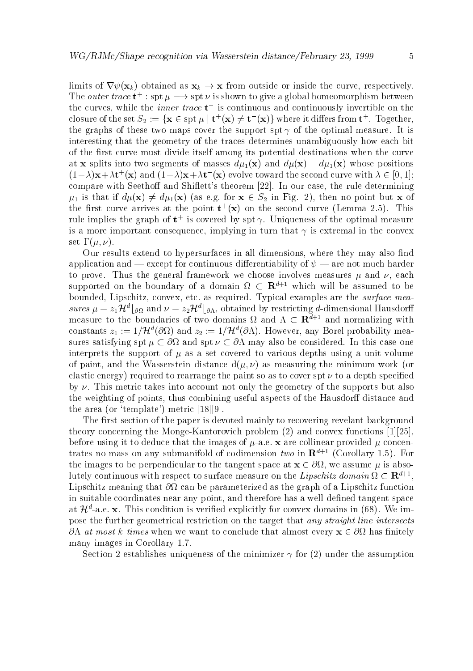limits of rxk obtained as a strong or inside the curve-curve-curve-curve-curve-curve-curve-curve-curve-curve-c The *outer trace*  $t^*$ : spt  $\mu \longrightarrow$  spt  $\nu$  is shown to give a global homeomorphism between the curves, while the *their trace* **t**- is continuous and continuously invertible on the closure of the set  $S_2 := \{ \mathbf{x} \in \operatorname{spt} \mu \mid \mathbf{t}^+(\mathbf{x}) \neq \mathbf{t}^-(\mathbf{x}) \}$  where it differs from  $\mathbf{t}^+$ . Together, the graphs of these two maps cover the support spt  $\gamma$  of the optimal measure. It is interesting that the geometry of the traces determines unambiguously how each bit of the first curve must divide itself among its potential destinations when the curve at **x** splits into two segments of masses  $d\mu_1(\mathbf{x})$  and  $d\mu(\mathbf{x}) - d\mu_1(\mathbf{x})$  whose positions  $(1 - \lambda)X + \lambda V$  (X) and  $(1 - \lambda)X + \lambda V$  (X) evolve toward the second curve with  $\lambda \in [0, 1]$ ; compare with Seetho and Shi#etts theorem  In our case- the rule determining is that if different in Fig. as  $\alpha$  as equations of the set of  $\alpha$  of  $\alpha$  of  $\alpha$  of  $\alpha$  of  $\alpha$  of  $\alpha$  of  $\alpha$  of  $\alpha$  of  $\alpha$  of  $\alpha$  of  $\alpha$  of  $\alpha$  of  $\alpha$  of  $\alpha$  of  $\alpha$  of  $\alpha$  of  $\alpha$  of  $\alpha$  of  $\alpha$  of  $\alpha$  the first curve arrives at the point  ${\bf t}^+({\bf x})$  on the second curve (Lemma 2.5). This rule implies the graph of **t** is covered by spt  $\gamma$ . Uniqueness of the optimal measure is a more important consequence- implying in turn that is extremal in the convex set  $\Gamma(\mu,\nu)$ .

Our results extend to hypersurfaces in all dimensions- where they may also nd application and — except for continuous differentiability of  $\psi$  — are not much harder to prove Thus the general framework we choose involves measures and - each supported on the boundary of a domain  $\Omega \subset \mathbf{R}^{d+1}$  which will be assumed to be bounded- Lipschitz- convex- etc as required Typical examples are the surface mea  $sures \mu = z_1 \pi^* \mid_{\partial \Omega}$  and  $\nu = z_2 \pi^* \mid_{\partial \Lambda}$ , obtained by restricting *a*-dimensional Hausdorn measure to the boundaries of two domains  $\Omega$  and  $\Lambda \subset \mathbf{R}^{d+1}$  and normalizing with constants  $z_1 := 1/\mathcal{H}$  (OM) and  $z_2 := 1/\mathcal{H}$  (OA). However, any Borel probability measures satisfying spt  $\mu \subset \partial\Omega$  and spt  $\nu \subset \partial\Lambda$  may also be considered. In this case one interprets the support of  $\mu$  as a set covered to various depths using a unit volume of painting the Wasserstein distance distance the Wasserstein distance work of minimum work as a minimum work o elastic energy) required to rearrange the paint so as to cover spt  $\nu$  to a depth specified by  $\nu$ . This metric takes into account not only the geometry of the supports but also the weighting of points- thus combining useful aspects of the Hausdor distance and the area (or 'template') metric  $[18][9]$ .

The first section of the paper is devoted mainly to recovering revelant background theory concerning that Monge convexed the Montern (c) mean convex functions  $\mathbf{r} = \mathbf{r}$ before using it to deduce that the images of ae x are collinear provided concen trates no mass on any submanifold of codimension two in  $\mathbb{R}^{d+1}$  (Corollary 1.5). For the images to be perpendicular to the tangent space at  $\sim$  0.11  $\sim$  111  $\sim$  111  $\sim$ iutely continuous with respect to surface measure on the  $Lipschitz$  domain  $\Omega \subset \mathbf{R}^{++}$ , Lipschitz meaning that  $\partial\Omega$  can be parameterized as the graph of a Lipschitz function in suitable coordinates near any point- and therefore has a well de
ned tangent space at  $\pi$  -a.e.  ${\bf x}$  -this condition is verified explicitly for convex domains in (08). We impose the further geometrical restriction on the target that any straight line intersects  $\partial\Lambda$  at most k times when we want to conclude that almost every  $\mathbf{x} \in \partial\Omega$  has finitely many images in Corollary 1.7.

Section 2 establishes uniqueness of the minimizer  $\gamma$  for (2) under the assumption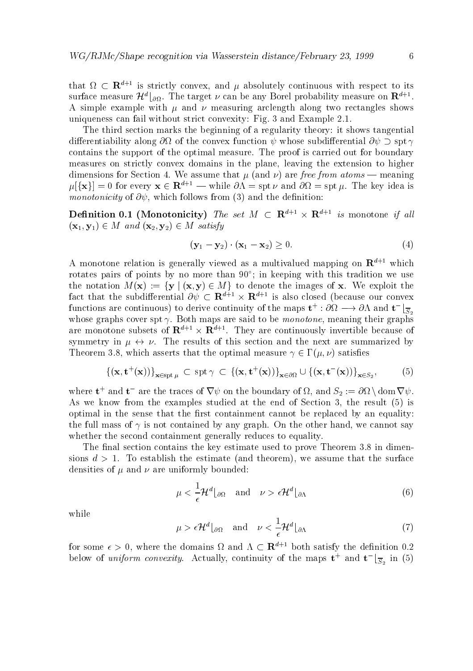that  $\Omega \subset \mathbf{R}^{n+1}$  is strictly convex, and  $\mu$  absolutely continuous with respect to its surface measure  $\boldsymbol{\mathcal{H}}^{\circ}|\partial\Omega$ . The target  $\nu$  can be any Borel probability measure on  $\boldsymbol{\mathcal{K}}^{\circ}$  . A simple example with  $\mu$  and  $\nu$  measuring arclength along two rectangles shows uniqueness can fail without strict convexity: Fig. 3 and Example  $2.1$ .

The third section marks the beginning of a regularity theory: it shows tangential differentiability along  $\partial\Omega$  of the convex function  $\psi$  whose subdifferential  $\partial\psi \supset$  spt  $\gamma$ contains the support of the optimal measure. The proof is carried out for boundary measures on strictly convex domains in the plane- leaving the extension to higher dimensions for Section 4. We assume that  $\mu$  (and  $\nu$ ) are free from atoms — meaning  $\mu$ [{**x**}] = 0 for every  $\mathbf{x} \in \mathbb{R}^{d+1}$  — while  $\partial \Lambda = \text{spt } \nu$  and  $\partial \Omega = \text{spt } \mu$ . The key idea is monotonicity of and the definition of  $\mathcal{N}$  and the definition of definition of and the definition of  $\mathcal{N}$ 

**Definition 0.1** (Monotonicity) The set  $M \subseteq \mathbb{R}^{n \times n} \times \mathbb{R}^{n \times n}$  is monotone if all x y M and x- y- M satisfy

$$
(\mathbf{y}_1 - \mathbf{y}_2) \cdot (\mathbf{x}_1 - \mathbf{x}_2) \ge 0. \tag{4}
$$

A monotone relation is generally viewed as a multivalued mapping on  $\mathbb{R}^{d+1}$  which rotates pairs of points by no more than 90 ; in keeping with this tradition we use the notation  $M(x) := \{y \mid (x, y) \in M\}$  to denote the images of x. We exploit the fact that the subdifferential  $\partial \psi \subset \mathbf{R}^{d+1} \times \mathbf{R}^{d+1}$  is also closed (because our convex functions are continuous) to derive continuity of the maps  $\mathbf{t}^+ : \partial \Omega \longrightarrow \partial \Omega$  and  $\mathbf{t}^- \mid \overline{\mathbf{c}}$ Swhere  $\alpha$  is the spin spin  $\beta$  are said to be monotoned to be monotoned the monotone-  $\alpha$  is the monotoneare monotone subsets of  $\mathbf{R}^{n+1} \times \mathbf{R}^{n+1}$ . They are continuously invertible because of symmetry in  $\mu \leftrightarrow \nu$ . The results of this section and the next are summarized by Theorem - which asserts that the optimal measure satis
es

$$
\{(\mathbf{x}, \mathbf{t}^+(\mathbf{x}))\}_{\mathbf{x}\in \text{spt }\mu} \subset \text{spt } \gamma \subset \{(\mathbf{x}, \mathbf{t}^+(\mathbf{x}))\}_{\mathbf{x}\in \partial\Omega} \cup \{(\mathbf{x}, \mathbf{t}^-(\mathbf{x}))\}_{\mathbf{x}\in S_2},
$$
 (5)

where  $\mathbf{t}^+$  and  $\mathbf{t}^-$  are the traces of  $\mathbf{v} \psi$  on the boundary of  $\Omega$ , and  $S_2 := \partial \Omega \setminus \text{dom } \nabla \psi$ . As we know from the examples studied at the end of Section -  $\mathbb{R}^n$  is the end of Section -  $\mathbb{R}^n$ optimal in the sense that the first containment cannot be replaced by an equality: the full mass of is not contained by any graph On the other hand- we cannot say whether the second containment generally reduces to equality.

The final section contains the key estimate used to prove Theorem 3.8 in dimensions d  $\Gamma$  To estimate and the estimate and the surface and the surface and the surface  $\Gamma$ densities of  $\mu$  and  $\nu$  are uniformly bounded:

$$
\mu < \frac{1}{\epsilon} \mathcal{H}^d \lfloor_{\partial \Omega} \quad \text{and} \quad \nu > \epsilon \mathcal{H}^d \lfloor_{\partial \Lambda} \tag{6}
$$

while

$$
\mu > \epsilon \mathcal{H}^d \lfloor_{\partial \Omega} \quad \text{and} \quad \nu < \frac{1}{\epsilon} \mathcal{H}^d \lfloor_{\partial \Lambda} \tag{7}
$$

for some  $\epsilon > 0$ , where the domains  $\Omega$  and  $\Lambda \subset \mathbf{R}^{n+1}$  both satisfy the definition 0.2 below of *uniform convexity*. Actually, continuity of the maps  $t^+$  and  $t^ \frac{1}{S_2}$  in (5)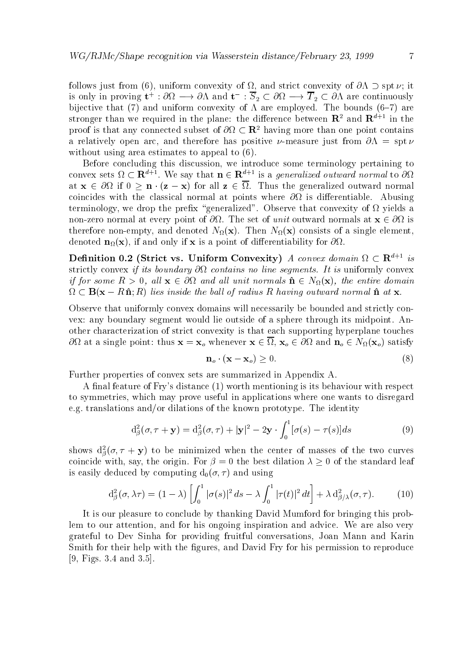follows just from the convexition of the convexity of and strict convexity of her specific the convexity of  $\mathcal{L}_\mathcal{A}$ is only in proving  $t^* : \omega_t \longrightarrow \omega_t$  and  $t^- : \omega_2 \subset \omega_t \longrightarrow \tau_2 \subset \omega_t$  are continuously bijective that (7) and uniform convexity of  $\Lambda$  are employed. The bounds (6-7) are stronger than we required in the plane: the difference between  ${\bf R}^-$  and  ${\bf R}^{n+1}$  in the proof is that any connected subset of  $\sigma_{\Omega} \subset \mathbf{R}^-$  having more than one point contains a relatively open arc-term arc-term of the specific specific specific specific specific specific specific specific without using area estimates to appeal to  $(6)$ .

Before concluding this discussion- we introduce some terminology pertaining to convex sets  $\Omega \subset \mathbf{R}^{n+1}$ , we say that  $\mathbf{n} \in \mathbf{R}^{n+1}$  is a *generalized outward normal* to  $\partial \Omega$ at  $\mathbf x$  if  $\mathbf x$  if  $\mathbf x$  if  $\mathbf x$  if  $\mathbf x$  if  $\mathbf x$  if  $\mathbf x$  if  $\mathbf x$  if  $\mathbf x$  if  $\mathbf x$  if  $\mathbf x$  if  $\mathbf x$  if  $\mathbf x$  if  $\mathbf x$  if  $\mathbf x$  if  $\mathbf x$  if  $\mathbf x$  if  $\mathbf x$  if  $\mathbf x$  if  $\mathbf x$  if  $\mathbf x$  if  $\mathbf x$  i coincides with the classical normal at points where  $\partial\Omega$  is differentiable. Abusing terminology, we drop the prefix "generalized". Observe that convexity of  $\Omega$  yields a non zero normal at every point of unit of unit of unit outward normal at x  $\mathcal{L}_{\mathcal{A}}$  is a set of unit outward normal at  $\mathcal{L}_{\mathcal{A}}$ empty-distribution and denoted National Constantinople and  $\mathbf{r}$  and  $\mathbf{r}$ denoted note and only if  $\mathbf{r}$  is a point of diependix for differentiability for differentiability for differentiability for differentiability for differentiability for differentiability for differentiability for diffe

**Denition 0.2** (Strict vs. Uniform Convexity) A convex domain  $\Omega \subset \mathbb{R}^{n+1}$  is strictly convex if its boundary  $\mathbf{r}$  is uniformly contains no line segments-induced by  $\mathbf{r}$ if for some  $R > 0$ , all  $\mathbf{x} \in \partial \Omega$  and all unit normals  $\hat{\mathbf{n}} \in N_{\Omega}(\mathbf{x})$ , the entire domain  $\Omega \subset \mathbf{B}(\mathbf{x} - R\hat{\mathbf{n}}; R)$  lies inside the ball of radius R having outward normal  $\hat{\mathbf{n}}$  at  $\mathbf{x}$ .

Observe that uniformly convex domains will necessarily be bounded and strictly con vex: any boundary segment would lie outside of a sphere through its midpoint. Another characterization of strict convexity is that each supporting hyperplane touches at a single point thus <sup>x</sup> xo whenever <sup>x</sup> - xo and no N xo satisfy

$$
\mathbf{n}_o \cdot (\mathbf{x} - \mathbf{x}_o) \ge 0. \tag{8}
$$

Further properties of convex sets are summarized in Appendix A

A final feature of Fry's distance (1) worth mentioning is its behaviour with respect to symmetries- which may prove useful in applications where one wants to disregard e.g. translations and/or dilations of the known prototype. The identity

$$
d_{\beta}^{2}(\sigma,\tau+\mathbf{y}) = d_{\beta}^{2}(\sigma,\tau) + |\mathbf{y}|^{2} - 2\mathbf{y} \cdot \int_{0}^{1} [\sigma(s) - \tau(s)]ds
$$
\n(9)

shows  $\mathrm{d}_{\beta}(\sigma,\tau+\mathbf{y})$  to be minimized when the center of masses of the two curves coincide with-best differences with-best differences of the standard leaf of the standard leaf of the standard is easily deduced by computing deduced by computing decisions of the computing decision of the computing decision of the computing decision of the computing decision of the computing decision of the computing decision of t

$$
d_{\beta}^{2}(\sigma,\lambda\tau) = (1-\lambda)\left[\int_{0}^{1} |\sigma(s)|^{2} ds - \lambda \int_{0}^{1} |\tau(t)|^{2} dt\right] + \lambda d_{\beta/\lambda}^{2}(\sigma,\tau). \tag{10}
$$

It is our pleasure to conclude by thanking David Mumford for bringing this prob lem to our attention- and for his ongoing inspiration and advice We are also very grateful to Devil construction for providing from the conversation of the conversation of the Conversation of the C smith for the form of the form the sequence is the form of the permission to reproduce the compact of the compa - Figs and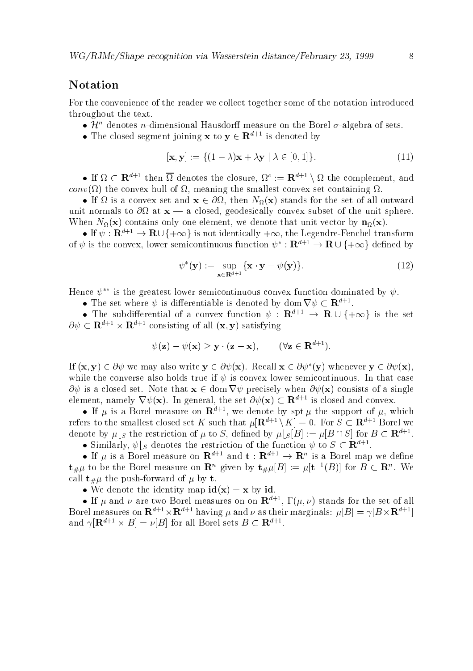#### Notation

For the convenience of the reader we collect together some of the notation introduced throughout the text

- $\bullet$   $\pi$  -denotes *n*-dimensional Hausdorii measure on the Borel *o*-algebra of sets.
- The closed segment joining **x** to  $y \in \mathbb{R}^{d+1}$  is denoted by

$$
[\mathbf{x}, \mathbf{y}] := \{ (1 - \lambda)\mathbf{x} + \lambda \mathbf{y} \mid \lambda \in [0, 1] \}.
$$
 (11)

• If  $\Omega \subset \mathbf{R}^{n+1}$  then  $\Omega$  denotes the closure,  $\Omega^* := \mathbf{R}^{n+1} \setminus \Omega$  the complement, and conv the convex hull of - meaning the smallest convex set containing

 $\mathbf{I} = \mathbf{I} \cdot \mathbf{I} \cdot \mathbf{A}$ unit normals to you at a convexity given subset of the unit spin sphere of the unit sphere of When  $\alpha$  and  $\alpha$  contains only one elements on the sector by notice that unit  $\alpha$  and  $\alpha$ 

 $\bullet$  If  $\psi: \mathbf{R}^{n+1} \to \mathbf{R} \cup \{+\infty\}$  is not identically  $+\infty$ , the Legendre-Fenchel transform of  $\psi$  is the convex, lower semicontinuous function  $\psi^* : \mathbf{R}^{*+1} \to \mathbf{R} \cup \{+\infty\}$  defined by

$$
\psi^*(\mathbf{y}) := \sup_{\mathbf{x} \in \mathbf{R}^{d+1}} \{ \mathbf{x} \cdot \mathbf{y} - \psi(\mathbf{y}) \}. \tag{12}
$$

Hence  $\psi^{**}$  is the greatest lower semicontinuous convex function dominated by  $\psi$ .

 $\bullet$  The set where  $\psi$  is differentiable is denoted by dom  $\mathbf{v} \psi \subset \mathbf{R}^{n \times n}$ .

• The subdimerential of a convex function  $\psi$  :  $\mathbf{R}^{n+1} \to \mathbf{R} \cup \{+\infty\}$  is the set  $\partial \psi \subset \mathbf{R}^{d+1} \times \mathbf{R}^{d+1}$  consisting of all  $(\mathbf{x}, \mathbf{y})$  satisfying

$$
\psi(\mathbf{z}) - \psi(\mathbf{x}) \geq \mathbf{y} \cdot (\mathbf{z} - \mathbf{x}), \qquad (\forall \mathbf{z} \in \mathbf{R}^{d+1}).
$$

If  $(\mathbf{x}, \mathbf{y}) \in \partial \psi$  we may also write  $\mathbf{y} \in \partial \psi(\mathbf{x})$ . Recall  $\mathbf{x} \in \partial \psi^*(\mathbf{y})$  whenever  $\mathbf{y} \in \partial \psi(\mathbf{x})$ . while the converse also holds true if  $\psi$  is convex lower semicontinuous. In that case  $\partial \psi$  is a closed set. Note that  $\mathbf{x} \in \text{dom } \nabla \psi$  precisely when  $\partial \psi(\mathbf{x})$  consists of a single element, namely  $\mathbf{v}\,\psi(\mathbf{x})$ . In general, the set  $\partial\psi(\mathbf{x})\subset\mathbf{R}^{*+1}$  is closed and convex.

• If  $\mu$  is a Borel measure on  ${\bf R}^{n+1}$ , we denote by spt  $\mu$  the support of  $\mu$ , which refers to the smallest closed set K such that  $\mu[\mathbf{R}^{d+1} \setminus K] = 0$ . For  $S \subset \mathbf{R}^{d+1}$  Borel we denote by  $\mu|_S$  the restriction of  $\mu$  to S, defined by  $\mu|_S[B] := \mu[B \cap S]$  for  $B \subset \mathbf{R}^{d+1}$ .

 $\bullet$  Similarly,  $\psi|_{S}$  denotes the restriction of the function  $\psi$  to  $S \subset \mathbf{R}^{n+1}$ .

• If  $\mu$  is a borel measure on  ${\bf R}^{n+1}$  and  ${\bf t}$  :  ${\bf R}^{n+1} \rightarrow {\bf R}^{n}$  is a borel map we define  $\mathbf{t} \# \mu$  to be the Borel measure on  $\mathbf{R}^n$  given by  $\mathbf{t} \# \mu |B| := \mu |\mathbf{t}^{-1}(B)|$  for  $B \subset \mathbf{R}^n$ . We forward to the push of the pushed of the pushed of  $\mu$  and  $\mu$ 

• We denote the identity map  $id(x) = x$  by id.

 $\bullet$  If  $\mu$  and  $\nu$  are two borel measures on on  ${\bf K}^{++}$ , I ( $\mu,\nu$ ) stands for the set of all Borel measures on  $\mathbf{R}^{d+1} \times \mathbf{R}^{d+1}$  having  $\mu$  and  $\nu$  as their marginals:  $\mu[B] = \gamma[B \times \mathbf{R}^{d+1}]$ and  $\gamma |{\bf R}^{n+1} \times B| = \nu |B|$  for an borel sets  $B \subset {\bf R}^{n+1}$ .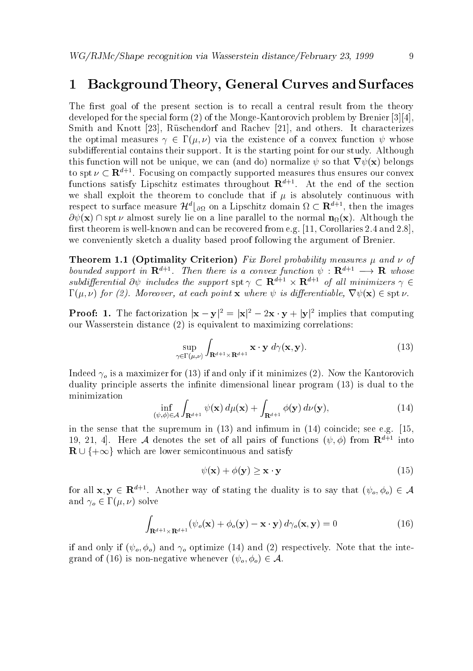#### 1 Background Theory, General Curves and Surfaces

The first goal of the present section is to recall a central result from the theory developed for the special form of the Monge Kantorovich problem by Brenier smith and Knott and Rachev and Rachev Rose and Rachev is the Rachev and Rachev and Andrews It characterizes an the optimal measures  $\gamma \in \Gamma(\mu, \nu)$  via the existence of a convex function  $\psi$  whose subdifferential contains their support. It is the starting point for our study. Although this function will not be unique-do normalize  $\mathbf{u}$  and do normalize  $\mathbf{u}$  and do normalize  $\mathbf{u}$ to spt  $\nu \subset \mathbf{R}^{n+1}$ . Focusing on compactly supported measures thus ensures our convex functions satisfy Lipschitz estimates throughout  ${\bf R}^{++}$ . At the end of the section we shall exploit the theorem to conclude that if  $\mu$  is absolutely continuous with respect to surface measure  $\mathcal{H}^*|_{\partial\Omega}$  on a Lipschitz domain  $\Omega\subset\mathbf{R}^{*,*}$ , then the images  $\partial \psi(\mathbf{x})$   $\cap$  spt  $\nu$  almost surely lie on a line parallel to the normal  $\mathbf{n}_{\Omega}(\mathbf{x})$ . Although the rst theorem is well as well as well as well as  $\mathbf{A}$  and  $\mathbf{A}$  and  $\mathbf{A}$  and  $\mathbf{A}$  and  $\mathbf{A}$ we conveniently sketch a duality based proof following the argument of Brenier

Theorem Optimality Criterion Fix Borel probability measures and of bounded support in  ${\bf R}^{n+1}$ . Then there is a convex function  $\psi: {\bf R}^{n+1} \longrightarrow {\bf R}$  whose subdifferential  $O\psi$  includes the support  $\text{SD}(\gamma) \subset \mathbf{R}^{n+1} \times \mathbf{R}^{n+1}$  of all minimizers  $\gamma \in$ for a series and the series of the series of the species of the species of the species of the species of the s

**Proof:** 1. The factorization  $|\mathbf{x} - \mathbf{y}|^2 = |\mathbf{x}|^2 - 2\mathbf{x} \cdot \mathbf{y} + |\mathbf{y}|^2$  implies that computing our Wasserstein distance  $(2)$  is equivalent to maximizing correlations:

$$
\sup_{\gamma \in \Gamma(\mu,\nu)} \int_{\mathbf{R}^{d+1} \times \mathbf{R}^{d+1}} \mathbf{x} \cdot \mathbf{y} \, d\gamma(\mathbf{x}, \mathbf{y}). \tag{13}
$$

Indeed  $\gamma_o$  is a maximizer for (13) if and only if it minimizes (2). Now the Kantorovich duality principle asserts the infinite dimensional linear program (13) is dual to the minimization

$$
\inf_{(\psi,\phi)\in\mathcal{A}}\int_{\mathbf{R}^{d+1}}\psi(\mathbf{x})\,d\mu(\mathbf{x})+\int_{\mathbf{R}^{d+1}}\phi(\mathbf{y})\,d\nu(\mathbf{y}),\tag{14}
$$

in the sense that the supremum in  $(13)$  and infimum in  $(14)$  coincide; see e.g. [15, 19, 21, 4). Here A denotes the set of all pairs of functions  $(\psi, \phi)$  from  $\mathbf{R}^{n+1}$  into  $\mathbf{R} \cup \{+\infty\}$  which are lower semicontinuous and satisfy

$$
\psi(\mathbf{x}) + \phi(\mathbf{y}) \ge \mathbf{x} \cdot \mathbf{y} \tag{15}
$$

for all  $\mathbf{x},\mathbf{y} \in \mathbf{R}^{n+1}$ . Another way of stating the duality is to say that  $(\psi_o, \phi_o) \in \mathcal{A}$ and  $\gamma_o \in \Gamma(\mu, \nu)$  solve

$$
\int_{\mathbf{R}^{d+1}\times\mathbf{R}^{d+1}} (\psi_o(\mathbf{x}) + \phi_o(\mathbf{y}) - \mathbf{x} \cdot \mathbf{y}) d\gamma_o(\mathbf{x}, \mathbf{y}) = 0
$$
\n(16)

if and only if  $(\psi_o, \phi_o)$  and  $\gamma_o$  optimize (14) and (2) respectively. Note that the inte- $\Omega$  is non-transferred of  $\Omega$  is non-transferred or  $\Lambda$   $\overline{u}$   $\overline{u}$   $\overline{u}$   $\overline{u}$   $\overline{u}$   $\overline{u}$   $\overline{u}$   $\overline{u}$   $\overline{u}$   $\overline{u}$   $\overline{u}$   $\overline{u}$   $\overline{u}$   $\overline{u}$   $\overline{u}$   $\overline{u}$   $\overline{u}$   $\overline{u}$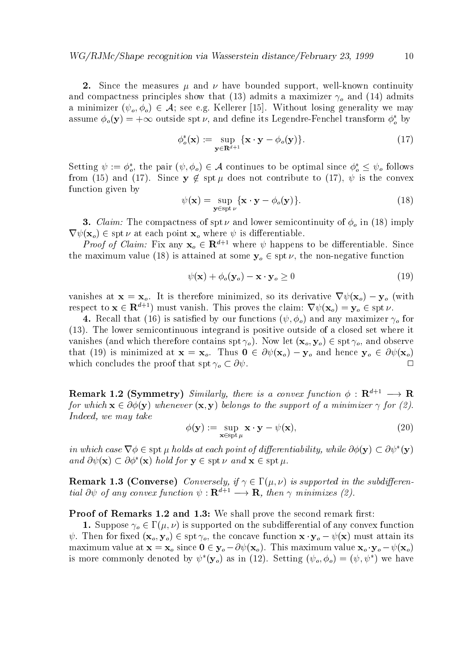since the measures in the measure of the measures in the properties of the support of the continuity of the continuity and compactness principles show that (13) admits a maximizer  $\gamma_0$  and (14) admits a minimizer  $(\psi_o, \phi_o) \in \mathcal{A}$ ; see e.g. Kellerer [15]. Without losing generality we may assume  $\varphi_o(y) = +\infty$  outside spt  $\nu$ , and define its Legendre-Fenchel transform  $\varphi_o$  by

$$
\phi_o^*(\mathbf{x}) := \sup_{\mathbf{y} \in \mathbf{R}^{d+1}} \{ \mathbf{x} \cdot \mathbf{y} - \phi_o(\mathbf{y}) \}.
$$
 (17)

Setting  $\psi := \varphi_o$ , the pair  $(\psi, \varphi_o) \in \mathcal{A}$  continues to be optimal since  $\varphi_o \leq \psi_o$  follows from  $\mathcal{A} = \{ \mathcal{A} \mid \mathcal{A} \in \mathcal{A} \}$  . Since  $\mathcal{A} = \{ \mathcal{A} \mid \mathcal{A} \in \mathcal{A} \}$  , we can consider the convex of  $\mathcal{A} = \{ \mathcal{A} \mid \mathcal{A} \in \mathcal{A} \}$  , we can consider the convex of  $\mathcal{A} = \{ \mathcal{A} \mid \mathcal{A} \in \mathcal{A} \}$  function given by

$$
\psi(\mathbf{x}) = \sup_{\mathbf{y} \in \text{spt } \nu} \{ \mathbf{x} \cdot \mathbf{y} - \phi_o(\mathbf{y}) \}. \tag{18}
$$

 $\mathcal{L}$  . So the compactness of order semicontinuity of order that  $\mathcal{L}$  is and in  $\mathcal{L}$  implying  $\mathcal{L}$  $\nabla \psi(\mathbf{x}_o) \in \text{spt } \nu \text{ at each point } \mathbf{x}_o \text{ where } \psi \text{ is differentiable.}$ 

*Proof of Claim:* Fix any  $x_0 \in \mathbf{R}^{d+1}$  where  $\psi$  happens to be differentiable. Since the maximum value  $\left( -1 \right)$  is attained at some spins  $\left\{ 0 \right.$  is a positive function function functions of  $\left( 0 \right)$ 

$$
\psi(\mathbf{x}) + \phi_o(\mathbf{y}_o) - \mathbf{x} \cdot \mathbf{y}_o \ge 0 \tag{19}
$$

vanishes at xo it is therefore minimized  $\mathcal{U}$  is derivative rate  $\mathcal{U}$ respect to  $\mathbf{x} \in \mathbb{R}^{d+1}$  must vanish. This proves the claim:  $\nabla \psi(\mathbf{x}_o) = \mathbf{y}_o \in \text{spt } \nu$ .

ed by our functions  $\begin{pmatrix} -1 \\ 0 \end{pmatrix}$  for any maximizer of  $\begin{pmatrix} 0 \\ 0 \end{pmatrix}$  for any maximizer of  $\begin{pmatrix} 0 \\ 0 \end{pmatrix}$  $(13)$ . The lower semicontinuous integrand is positive outside of a closed set where it vanishes and which therefore contains spin  $\vert U \rangle$  , therefore  $\vert U \rangle$  , spin  $\vert U \rangle$  and  $\vert U \rangle$  and  $\vert U \rangle$ that (19) is minimized at  $\mathbf{x} = \mathbf{x}_o$ . Thus  $\mathbf{0} \in \partial \psi(\mathbf{x}_o) - \mathbf{y}_o$  and hence  $\mathbf{y}_o \in \partial \psi(\mathbf{x}_o)$ which concludes the proof that spt  $\gamma_o \subset \partial \psi$ .  $\Box$ 

**Remark 1.4 (Symmetry)** Similarly, there is a convex function  $\varphi : \mathbb{R}^+ \to \mathbb{R}$ for which  $\mathbf{x} \in \partial \phi(\mathbf{y})$  whenever  $(\mathbf{x}, \mathbf{y})$  belongs to the support of a minimizer  $\gamma$  for (2). Indeed, we may take

$$
\phi(\mathbf{y}) := \sup_{\mathbf{x} \in \text{spt } \mu} \mathbf{x} \cdot \mathbf{y} - \psi(\mathbf{x}),\tag{20}
$$

in which case  $\nabla \phi \in \operatorname{spt} \mu$  holds at each point of differentiability, while  $\partial \phi(\mathbf{y}) \subset \partial \psi^*(\mathbf{y})$ and  $\partial \psi(\mathbf{x}) \subset \partial \phi^*(\mathbf{x})$  hold for  $\mathbf{y} \in \text{spt } \nu$  and  $\mathbf{x} \in \text{spt } \mu$ .

en and the converse of the subdivision of the subdivision in the subdivision of the subdivision of the subdivis tial  $\sigma \psi$  of any convex function  $\psi : \mathbf{R}^+ \to \mathbf{R}$ , then  $\gamma$  minimizes (2).

Proof of Remarks and We shall prove the second remark rst

Supported on the supported on the subdierential of any convex function  $\mathcal{S}$  $\tau$  . For the concave  $\tau$  ,  $\tau$  ,  $\sigma$  ,  $\sigma$  ,  $\sigma$  ,  $\sigma$  ,  $\sigma$  ,  $\tau$  ,  $\tau$  ,  $\tau$  ,  $\tau$  ,  $\tau$  ,  $\tau$  ,  $\tau$  ,  $\tau$  ,  $\tau$  ,  $\tau$  ,  $\tau$  ,  $\tau$  ,  $\tau$  ,  $\tau$  ,  $\tau$  ,  $\tau$  ,  $\tau$  ,  $\tau$  ,  $\tau$  ,  $\tau$  ,  $\tau$  ,  $\$ maximum value at x = xo since  $\frac{1}{2}$  , you with  $\frac{1}{2}$  , this maximum value  $\frac{1}{2}$  , you this may be a is more commonly denoted by  $\psi^*(y_o)$  as in (12). Setting  $(\psi_o, \phi_o) = (\psi, \psi^*)$  we have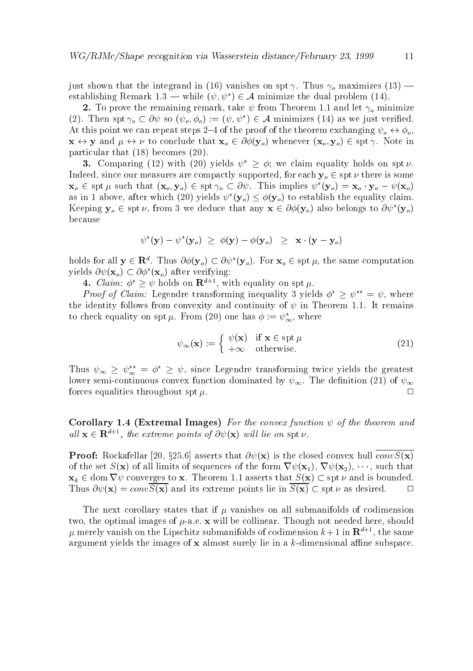just shown that the integrand in (16) vanishes on spt  $\gamma$ . Thus  $\gamma_o$  maximizes (13) – establishing Remark 1.3 — while  $(\psi, \psi^*) \in \mathcal{A}$  minimize the dual problem (14).

 $\sim$  to prove the remaining remaining theorem  $\tau$  is the from Theorem III and the  $\eta$  minimized the  $\eta$ (2). Then spt  $\gamma_o \subset \partial \psi$  so  $(\psi_o, \phi_o) := (\psi, \psi^*) \in \mathcal{A}$  minimizes (14) as we just verified. At this point we can repeat steps 2–4 of the proof of the theorem exchanging  $\psi_o \leftrightarrow \phi_o$ ,  $\mathbf{x} \leftrightarrow \mathbf{y}$  and  $\mu \leftrightarrow \nu$  to conclude that  $\mathbf{x}_o \in \partial \phi(\mathbf{y}_o)$  whenever  $(\mathbf{x}_o, \mathbf{y}_o) \in \text{spt } \gamma$ . Note in particular that  $(18)$  becomes  $(20)$ .

 $\mathbf{d}$ . Comparing (12) with (20) yields  $\psi \geq \varphi$ , we claim equality holds on spt  $\nu$ . Indeed-Compactly supported-compactly supported-compactly supported-compactly supported-compactly supported-compactly supported-compactly supported-compactly supported-compactly supported-compactly supported-compactly suppo  ${\bf x}_o \in {\rm spt}$   $\mu$  such that  $({\bf x}_o, {\bf y}_o) \in {\rm spt}$   $\gamma_o \subset \sigma \psi$ . This implies  $\psi$   $({\bf y}_o) = {\bf x}_o \cdot {\bf y}_o - \psi({\bf x}_o)$ as in 1 above, after which (20) yields  $\psi$  ( $y_o$ )  $\leq \varphi(y_o)$  to establish the equality claim. Reeping  $y_0 \in \text{spf } \nu$ , from 5 we deduce that any  $\mathbf{x} \in \mathit{OQ}(y_0)$  also belongs to  $\mathit{OQ}(y_0)$ because

$$
\psi^*(\mathbf{y}) - \psi^*(\mathbf{y}_o) \ \geq \ \phi(\mathbf{y}) - \phi(\mathbf{y}_o) \ \geq \ \mathbf{x} \cdot (\mathbf{y} - \mathbf{y}_o)
$$

holds for all  $y \in \mathbf{R}$ . Thus  $\partial \varphi(y_o) \subset \partial \varphi(y_o)$ . For  $\mathbf{x}_o \in \text{spf}(\mu)$ , the same computation yields  $\partial \psi(\mathbf{x}_o) \subset \partial \phi^*(\mathbf{x}_o)$  after verifying:

4. *Claim:*  $\varphi > \psi$  noids on  $\mathbf{R}^{-1}$ , with equality on spt  $\mu$ .

*Proof of Claim:* Legendre transforming inequality 5 yields  $\varphi \geq \psi$  =  $\psi$ , where the identity follows from convexity and continuity of  $\psi$  in Theorem 1.1. It remains to check equality on spt  $\mu$ . From (20) one has  $\varphi := \psi_{\infty}$ , where

$$
\psi_{\infty}(\mathbf{x}) := \begin{cases} \psi(\mathbf{x}) & \text{if } \mathbf{x} \in \operatorname{spt} \mu \\ +\infty & \text{otherwise.} \end{cases}
$$
 (21)

Thus  $\psi_{\infty} \geq \psi_{\infty} = \varphi \geq \psi$ , since Legendre transforming twice yields the greatest lower semi-continuous continuous continuous continuous continuous convex function  $\mathcal{N} = \mathcal{N} = \mathcal{N}$ forces equalities throughout spt  $\mu$ .  $\Box$ 

Corollary Extremal Images For the convex function of the theorem and all  $\mathbf{x} \in \mathbf{R}^{n+1}$ , the extreme points of  $\sigma \psi(\mathbf{x})$  will be on spt  $\nu$ .

 $\mathbb{R}$  - x asserts that  $\mathbb{R}$  is the closed convex hull convex hull convex hull convex hull convex hull convex hull convex hull convex hull convex hull convex hull convex hull convex hull convex hull convex hull conv of the set  $S$  of  $\{1,2\}$  , and the form rate form rate for the form rate  $\{1,3\}$  ,  $\{1,4\}$  ,  $\{1,5\}$  ,  $\{1,6\}$  ,  $\{1,6\}$  ,  $\{1,6\}$  ,  $\{1,6\}$  ,  $\{1,6\}$  ,  $\{1,6\}$  ,  $\{1,6\}$  ,  $\{1,6\}$  ,  $\{1,6\}$  ,  $\$  $x_k \in \text{dom } \nabla \psi$  converges to x. Theorem 1.1 asserts that  $S(x) \subset \text{spt } \nu$  and is bounded. Thus  $\partial \psi(\mathbf{x}) = conv\overline{S(\mathbf{x})}$  and its extreme points lie in  $\overline{S(\mathbf{x})} \subset \operatorname{spt} \nu$  as desired.  $\Box$ 

The next corollary states that if  $\mu$  vanishes on all submanifolds of codimension two- the optimal images of ae x will be collinear Though not needed here- should  $\mu$  merely vanish on the Lipschitz submanifolds of codimension  $\kappa+1$  in  ${\bf R}^{++}$  , the same argument yields the images of x almost surely lie in a key and the subspace of the subspace  $\mu$  and  $\mu$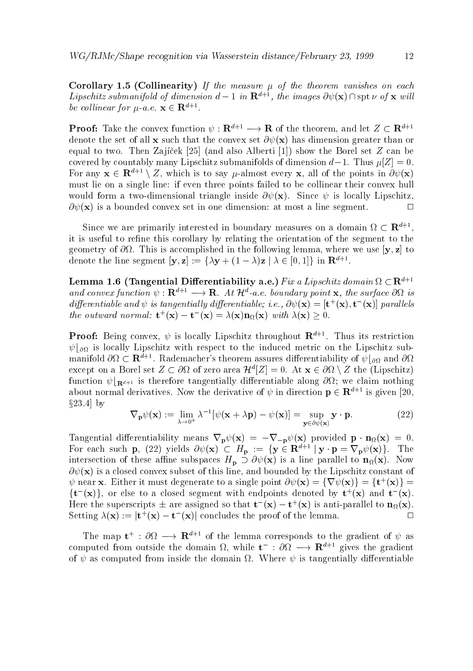restance and the measure  $\alpha$  is the the measure of the theorem vanishes on the theorem vanishes on the theorem Lipschitz submanifold of dimension  $a-1$  in  ${\bf R}^{n+1}$ , the images  $\sigma \psi({\bf X})$  (is spt  $\nu$  of  ${\bf X}$  will be columear for  $\mu$  a.e.  $\mathbf{x} \in \mathbf{R}$ .

**Proof:** Take the convex function  $\psi$  :  $\mathbf{R}^{n+1} \longrightarrow \mathbf{R}$  of the theorem, and let  $Z \subset \mathbf{R}^{n+1}$ denote the set of all **x** such that the convex set  $\partial \psi(\mathbf{x})$  has dimension greater than or equal to two. Then Zajíček  $[25]$  (and also Alberti  $[1]$ ) show the Borel set Z can be covered by countably many Lipschitz submanifolds of dimension  $d-1$ . Thus  $\mu[Z] = 0$ . For any  $\mathbf{x} \in \mathbf{R}^{n+1} \setminus Z$ , which is to say  $\mu$ -almost every  $\mathbf{x}$ , all of the points in  $\mathcal{O}\psi(\mathbf{x})$ must lie on a single line: if even three points failed to be collinear their convex hull would form a two-dimensional triangle inside  $\mathbf{v}$  ,  $\mathbf{v}$  ,  $\mathbf{v}$  and  $\mathbf{v}$  are the since  $\mathbf{v}$  $\partial \psi(\mathbf{x})$  is a bounded convex set in one dimension: at most a line segment.  $\Box$ 

Since we are primarily interested in boundary measures on a domain  $\Omega \subset \mathbf{R}^{n \times n}$ , it is useful to refine this corollary by relating the orientation of the segment to the  $\alpha$  . This is a complete interesting in the following lemma-  $\alpha$  to the following the following  $\alpha$ denote the line segment  $|{\bf y},{\bf z}|:=\{\lambda {\bf y}+(1-\lambda){\bf z}\mid \lambda \in [0,1]\}$  in  ${\bf R}^{n+1}.$ 

Lemma 1.6 (Tangential Differentiability a.e.) Fix a Lipschitz domain  $\Omega \subset \mathbb{R}^{n+1}$ and convex function  $\psi: \mathbf{R}^{n+1} \longrightarrow \mathbf{R}$ . At  $\mathcal{H}^{n}$  a.e. boundary point **x**, the surface  $\phi_{M}$  is aifferentiable and  $\psi$  is tangentially aifferentiable; i.e.,  $\mathcal{O}\psi(\mathbf{X}) = |\mathbf{t}|^2(\mathbf{X}), \mathbf{t}^2(\mathbf{X})|$  parallels the outward normal:  $\mathbf{t} \cdot (\mathbf{x}) = \mathbf{t} \cdot (\mathbf{x}) = \lambda(\mathbf{x}) \mathbf{n}_{\Omega}(\mathbf{x})$  with  $\lambda(\mathbf{x}) \geq 0$ .

**Proof:** Being convex,  $\psi$  is locally Lipschitz throughout  $\mathbf{R}^{\tau+\tau}$ . Thus its restriction  $\psi|_{\partial\Omega}$  is locally Lipschitz with respect to the induced metric on the Lipschitz submanifold  $\partial\Omega\subset \mathbf{R}^{n+1}.$  Kademacher's theorem assures differentiability of  $\psi|_{\partial\Omega}$  and  $\partial\Omega$ except on a borel set  $Z \subset \mathcal{O}_M$  of zero area  $\mathcal{H}^*|Z| = 0$ . At  $\mathbf{x} \in \mathcal{O}_M \setminus Z$  the (Lipschitz) function  $\psi|_{\mathbf{R}^{d+1}}$  is therefore tangentially differentiable along  $\partial\Omega$ ; we claim nothing about normal derivatives. Now the derivative of  $\psi$  in direction  $p \in \mathbf{R}^{d+1}$  is given [20,  $\S 23.4$  by

$$
\nabla_{\mathbf{p}} \psi(\mathbf{x}) := \lim_{\lambda \to 0^+} \lambda^{-1} [\psi(\mathbf{x} + \lambda \mathbf{p}) - \psi(\mathbf{x})] = \sup_{\mathbf{y} \in \partial \psi(\mathbf{x})} \mathbf{y} \cdot \mathbf{p}.
$$
 (22)

Tangential diesember of the contract  $\mathbf{p}$  provided provided provided provided provided provided provided provided provided provided provided provided provided provided provided provided provided provided provided prov For each such p, (22) yields  $\mathcal{O}\psi(\mathbf{X}) \subset B_{\mathbf{p}} := \{ \mathbf{y} \in \mathbf{R}^{n+1} \mid \mathbf{y} \cdot \mathbf{p} = \mathbf{V}_{\mathbf{p}} \psi(\mathbf{X}) \}$ . The intersection of these affine subspaces  $H_p \supset \partial \psi(\mathbf{x})$  is a line parallel to  $\mathbf{n}_{\Omega}(\mathbf{x})$ . Now x is a closed convex subset of this line- and bounded by the Lipschitz constant of  $\psi$  near **x**. Either it must degenerate to a single point  $\partial \psi(\mathbf{x}) = \{ \mathbf{V} \psi(\mathbf{x}) \} = \{ \mathbf{U} \backslash (\mathbf{x}) \} =$  $\{t^-(x)\}$ , or else to a closed segment with endpoints denoted by  $t^+(x)$  and  $t^-(x)$ . Here the superscripts  $\pm$  are assigned so that  $\mathbf{t}_-(\mathbf{x})-\mathbf{t}^+(\mathbf{x})$  is anti-parallel to  $\mathbf{n}_\Omega(\mathbf{x}).$  $\Box$ Setting  $\lambda(\mathbf{x}) := |\mathbf{t} \cdot (\mathbf{x}) - \mathbf{t} \cdot (\mathbf{x})|$  concludes the proof of the lemma.

The map  $t^*$ :  $\partial M \longrightarrow \mathbf{R}^{n+1}$  of the lemma corresponds to the gradient of  $\psi$  as computed from outside the domain  $\Omega$ , while  $\mathbf{t} \to \alpha \Omega \longrightarrow \mathbf{R}^{n+1}$  gives the gradient of  $\psi$  as computed from inside the domain  $\Omega$ . Where  $\psi$  is tangentially differentiable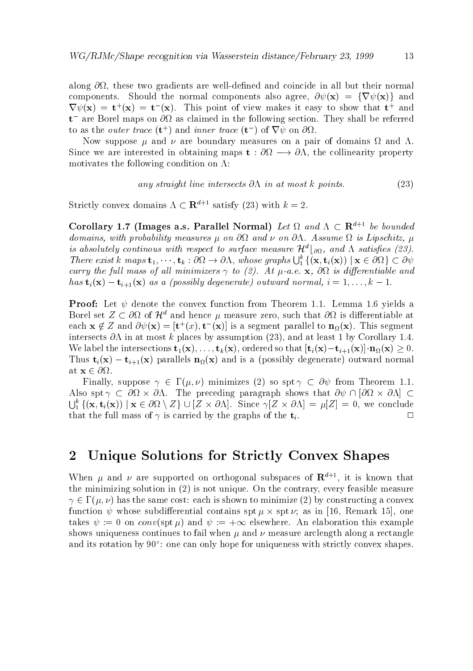along coincide in all all but the second coincide in all but the second coincide in all but the second coincide components shown that the normal components also agree-interesting and a social components and a social compon  $\mathbf{v} \psi(\mathbf{x}) = \mathbf{t}^{\top}(\mathbf{x}) = \mathbf{t}^{\top}(\mathbf{x})$ . This point of view makes it easy to show that  $\mathbf{t}^{\top}$  and  $t$  are borel maps on  $\sigma_{\Omega}$  as claimed in the following section. They shall be referred to as the *outer trace* (**t**) and *inner* trace (**t**) of  $V\psi$  on  $Q\Omega$ .

Now suppose  $\mu$  and  $\nu$  are boundary measures on a pair of domains  $\Omega$  and  $\Lambda$ .  $\sim$  since we are interested in obtaining maps to the collinear theoretically property  $\sim$ motivates the following condition on  $\Lambda$ :

any straight line intersects 
$$
\partial \Lambda
$$
 in at most k points. (23)

Strictly convex domains  $\Lambda \subset \mathbf{R}^{d+1}$  satisfy (23) with  $k = 2$ .

Corollary 1.7 (Tmages a.s. Parallel Normal) Let  $\Omega$  and  $\Lambda \subset \mathbb{R}^{n \times n}$  be bounded domains with probability measures with probability measures in the contract on  $\mathbb{R}^n$ is absolutely continous with respect to surface measure  $\pi^*|_{\partial\Omega}$ , and  $\Lambda$  satisfies (z3). There exist k maps  $\mathbf{t}_1,\dots,\mathbf{t}_k:\partial\Omega\to\partial\Lambda$ , whose graphs  $\bigcup_{i=1}^{\kappa} \{(\mathbf{x},\mathbf{t}_i(\mathbf{x})) \mid \mathbf{x}\in\partial\Omega\}\subset\partial\psi$ carry the full limit of all minimizers is the full carry and all contracts and all minimizes and all contracts has  $\mathbf{t}_i(\mathbf{x}) - \mathbf{t}_{i+1}(\mathbf{x})$  as a (possibly degenerate) outward normal,  $i = 1, \ldots, k - 1$ .

**Proof:** Let  $\psi$  denote the convex function from Theorem 1.1. Lemma 1.6 yields a Dorel set  $Z \subset 0$ M of  $H$  and hence  $\mu$  measure zero, such that  $0M$  is differentiable at each  $\mathbf{x} \notin \mathcal{Z}$  and  $\partial \psi(\mathbf{x}) = [\mathbf{t}^{\top}(\mathbf{x}), \mathbf{t}^{\top}(\mathbf{x})]$  is a segment parallel to  $\mathbf{n}_{\Omega}(\mathbf{x})$ . This segment intersects in at most k places by assumption - and at least by Corollary which the intersection the three states  $\{N\}$  , and the intersection that time  $\{N\}$  , and  $\{N\}$  and  $\{N\}$  , and  $\{N\}$ Thus  $t_i(x) - t_{i+1}(x)$  parallels  $n_{\Omega}(x)$  and is a (possibly degenerate) outward normal at  $\mathbf{x} \in \partial \Omega$ .

 $\mathcal{L}=\{f_1,\ldots,f_n\}$  , we set the space of  $\mathcal{L}=\{f_1,\ldots,f_n\}$  , we set the solution of  $\mathcal{L}=\{f_1,\ldots,f_n\}$ Also spt  $\gamma \subset \partial\Omega \times \partial\Lambda$ . The preceding paragraph shows that  $\partial \psi \cap [\partial\Omega \times \partial\Lambda] \subset$  $\bigcup_{i=1}^{\kappa} \{(\mathbf{x}, \mathbf{t}_i(\mathbf{x})) \mid \mathbf{x} \in \partial\Omega \setminus Z\} \cup [Z \times \partial\Lambda]$ . Since  $\gamma[Z \times \partial\Lambda] = \mu[Z] = 0$ , we conclude that the full mass of  $\gamma$  is carried by the graphs of the  $t_i$ .  $\Box$ 

#### Unique Solutions for Strictly Convex Shapes

when  $\mu$  and  $\nu$  are supported on orthogonal subspaces of  ${\bf R}^{n+1}$ , it is known that the minimizing solution in is not unique On the contrary- every feasible measure  $\gamma \in \Gamma(\mu, \nu)$  has the same cost: each is shown to minimize (2) by constructing a convex function is a subdivision of the spin-dimension of the spin-dimension of the spin-dimension of the spin-dimension takes  $\psi := 0$  on conv(spt  $\mu$ ) and  $\psi := +\infty$  elsewhere. An elaboration this example shows uniqueness continues to fail when  $\mu$  and  $\nu$  measure arclength along a rectangle and its rotation by  $90\,$  ; one can only hope for uniqueness with strictly convex shapes.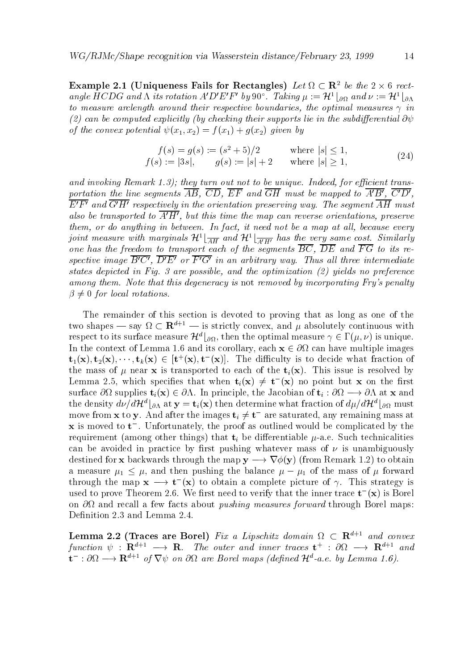**Example 2.1** (Uniqueness Fails for Rectangles) Let  $\Omega \subset \mathbb{R}^+$  be the  $2 \times 6$  rectangle  $H \cup D$ G and  $\Lambda$  its rotation  $A \cup E$   $F \circ y$  y  $0$ . I aking  $\mu := H^{-} \otimes_{\Omega} a$  and  $\nu := H^{-} \otimes_{\Lambda} a$ to measure arclength around their respective boundaries, the optimal measures  $\gamma$  in (2) can be computed explicitly (by checking their supports lie in the subdifferential  $\partial \psi$ of the convex potential and the convex potential and the convex potential and the convex potential and the con

$$
f(s) = g(s) := (s^2 + 5)/2 \qquad \text{where } |s| \le 1,
$$
  
\n
$$
f(s) := |3s|, \qquad g(s) := |s| + 2 \qquad \text{where } |s| \ge 1,
$$
\n
$$
(24)
$$

and invoking Remark - they turn out not to be unique- Indeed for ecient trans portation the line segments  $\overline{AB}$ ,  $\overline{CD}$ ,  $\overline{EF}$  and  $\overline{GH}$  must be mapped to  $\overline{A'B'}$ ,  $\overline{C'D'}$ ,  $E$   $T$  and  $G$   $H$  respectively in the orientation preserving way. The segment  $A$ H must also be transported to  $\overline{A'H'}$ , but this time the map can reverse orientations, preserve them or do anything in between- In fact it need not be a map at al l because every joint measure with marginals  $\mathcal{H}^1[\frac{A}{AH}$  and  $\mathcal{H}^1[\frac{A^{\prime}H^{\prime}}{A^{\prime}H^{\prime}}]$  has the very same cost. Similarly one has the freedom to transport each of the segments  $\overline{BC}$ ,  $\overline{DE}$  and  $\overline{FG}$  to its respective image  $B \cup$ ,  $D E$  or F  $G$  in an arbitrary way. Thus all three intermediate states diepicted in Fig. waars possible and the optimization (by greens its preference). among them, we have them them may be the group is not removed by incorporating with group producing the second  $\beta \neq 0$  for local rotations.

The remainder of this section is devoted to proving that as long as one of the two snapes — say  $\Omega \subset \mathbf{R}^{n+1}$  is strictly convex, and  $\mu$  absolutely continuous with respect to its surface measure  $\pi$  +  $_{\partial\Omega}$ , then the optimal measure  $\gamma \in \Gamma(\mu, \nu)$  is unique. In the context of Lemma  $\sim$  Lemma  $\sim$  . The corollary-state multiple images in the corollary-state images in  $\mathbf{t}_1(\mathbf{x}), \mathbf{t}_2(\mathbf{x}), \cdots, \mathbf{t}_k(\mathbf{x}) \in [\mathbf{t}^{\top}(\mathbf{x}), \mathbf{t}^{\top}(\mathbf{x})].$  The difficulty is to decide what fraction of the mass of  $\mu$  near **x** is transported to each of the  $t_i(\mathbf{x})$ . This issue is resolved by Lemma 2.5, which specifies that when  $\mathbf{t}_i(\mathbf{X}) \neq \mathbf{t}_-(\mathbf{X})$  ho point but  $\mathbf{X}$  on the first surface  $\alpha$  supplies the Indian of time-dimensional order the Jacobian of  $\alpha$  ,  $\alpha$  and  $\alpha$  and  $\alpha$  and  $\alpha$ the density ddHdb at <sup>y</sup> tix then determine what fraction of ddHdb must move from **x** to **y**. And after the images  $\mathbf{t}_i \neq \mathbf{t}_-$  are saturated, any remaining mass at  ${\bf x}$  is moved to  ${\bf t}$  . Unfortunately, the proof as outlined would be complicated by the requirement among other things that ti be dierentiable ae Such technicalities can be avoided in practice by first pushing whatever mass of  $\nu$  is unambiguously destined for  $\mathbf r$  backwards through the map  $\mathbf r$  -to obtain  $\mathbf r$  -to obtain  $\mathbf r$  -to obtain  $\mathbf r$ a measure is the balance of the mass of the mass of the mass of the mass of the mass of the mass of the mass o through the map  $x \longrightarrow t(x)$  to obtain a complete picture of  $\gamma$ . This strategy is used to prove Theorem 2.0. We first heed to verify that the inner trace  $\mathbf{t}^{\top}(\mathbf{x})$  is borel on  $\partial\Omega$  and recall a few facts about *pushing measures forward* through Borel maps: Definition 2.3 and Lemma 2.4.

**Lemma 2.2** (Fraces are Borel) Fix a Lipschitz domain  $\Omega \subset \mathbb{R}^{n+1}$  and convex function  $\psi$  :  ${\bf R}$   $\longrightarrow$   ${\bf R}$ . The outer and inner traces  ${\bf t}$  :  $\partial \Omega$   $\longrightarrow$   ${\bf R}$  and  $\mathbf{u}$  :  $\partial \mathbf{v}$   $\longrightarrow$   $\mathbf{R}^{n+1}$  of  $\mathbf{v} \psi$  on  $\partial \mathbf{v}$  are Boret maps (aenned  $\mathcal{H}^{n}$ -a.e. by Lemma 1.0).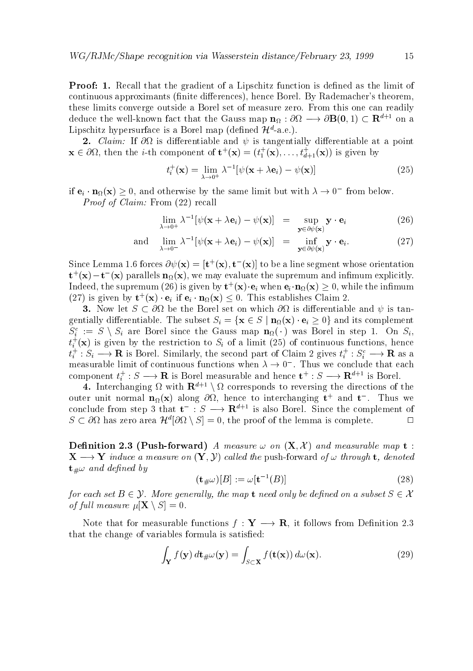Proof Recall that the gradient of a Lipschitz function is de
ned asthe limit of continuous approximants (mittel activities) is the collection of the state and continuous and continuous these limits converge outside a Borel set of measure zero. From this one can readily deduce the well-known fact that the Gauss map  ${\bf n}_\Omega$  :  $\sigma_\Omega$   $\longrightarrow$   $\sigma_1$   $\sigma$   $\sigma_2$   $\sigma_3$   $\rightarrow$   $\sigma_4$   $\sigma_5$   $\rightarrow$   $\sigma_6$ Lipschitz hypersurface is a Dorel map (defined  $\pi$ -a.e.).

 Claim If is dierentiable and is tangentially dierentiable at a point  $\mathbf{x} \in \mathcal{O}\Omega$ , then the *i*-th component of  $\mathbf{t}^+(x) = (t_1^+(x), \ldots, t_{d+1}^+(x))$  is given by  $\overline{\phantom{a}}$ 

$$
t_i^+(\mathbf{x}) = \lim_{\lambda \to 0^+} \lambda^{-1} [\psi(\mathbf{x} + \lambda \mathbf{e}_i) - \psi(\mathbf{x})]
$$
(25)

If  $e_i \cdot n_{\Omega}(x) \geq 0$ , and otherwise by the same limit but with  $\lambda \to 0$  -from below. *Proof of Claim:* From  $(22)$  recall

$$
\lim_{\lambda \to 0^+} \lambda^{-1} [\psi(\mathbf{x} + \lambda \mathbf{e}_i) - \psi(\mathbf{x})] = \sup_{\mathbf{y} \in \partial \psi(\mathbf{x})} \mathbf{y} \cdot \mathbf{e}_i
$$
 (26)

and 
$$
\lim_{\lambda \to 0^-} \lambda^{-1} [\psi(\mathbf{x} + \lambda \mathbf{e}_i) - \psi(\mathbf{x})] = \inf_{\mathbf{y} \in \partial \psi(\mathbf{x})} \mathbf{y} \cdot \mathbf{e}_i.
$$
 (27)

Since Lemma 1.0 forces  $\partial \psi(\mathbf{X}) = |\mathbf{t} \cdot (\mathbf{X}), \mathbf{t} \cdot (\mathbf{X})|$  to be a line segment whose orientation  ${\bf t}^+({\bf x})-{\bf t}^-({\bf x})$  parallels  ${\bf n}_\Omega({\bf x})$ , we may evaluate the supremum and infimum explicitly. Indeed, the supremum (20) is given by  $\mathbf{t}^+(\mathbf{X})\cdot\mathbf{e}_i$  when  $\mathbf{e}_i\cdot\mathbf{n}_\Omega(\mathbf{X})\geq 0,$  while the infimum  $(2i)$  is given by  $\mathbf{t}^+(x) \cdot \mathbf{e}_i$  if  $\mathbf{e}_i \cdot \mathbf{n}_{\Omega}(x) \leq 0$ . This establishes Claim 2.

Now let S is die the Borel set on which is dierentiable and is dierentiable and is dierentiable and is tangent  $\Omega$  , we consider the subset  $\Omega$  in the subset  $\Omega$  in the subset  $\Omega$  in the subset of  $\Omega$  $S_i := S \setminus S_i$  are borel since the Gauss map  $\mathbf{n}_{\Omega}(\cdot)$  was borel in step 1. On  $S_i$ ,  $t_i$  (x) is given by the restriction to  $S_i$  of a limit (25) of continuous functions, nence  $t_i : S_i \longrightarrow \mathbf{R}$  is Borel. Similarly, the second part of Claim 2 gives  $t_i : S_i^{\sim} \longrightarrow \mathbf{R}$  as a measurable limit of continuous functions when  $\lambda \to 0$ . Thus we conclude that each component  $t_i: S \longrightarrow \mathbf{R}$  is Borel measurable and hence  $\mathbf{t}^*: S \longrightarrow \mathbf{R}^{n+1}$  is Borel.

**4.** Interchanging  $\Omega$  with  $\mathbf{R}^{n+1} \setminus \Omega$  corresponds to reversing the directions of the outer unit normal  $\mathbf{n}_\Omega(\mathbf{x})$  along  $\sigma\imath$ , nence to interchanging  $\mathbf{t}^+$  and  $\mathbf{t}^-$ . Thus we conclude from step 5 that  $\mathbf{t} \to \mathbf{S} \longrightarrow \mathbf{R}^{n+1}$  is also Borel. Since the complement of  $\Box$  $S \subseteq O\Omega$  has zero area  $H^{\circ}|O\Omega \setminus S| = 0$ , the proof of the lemma is complete.  $\Box$ 

Denition Pushforward A measure on X <sup>X</sup> and measurable map t X - Yinduce a measure on Y Y cal led the push forward of through t denoted  $\mathbf{t}_{\#}\omega$  and defined by

$$
(\mathbf{t}_{\#}\omega)[B] := \omega[\mathbf{t}^{-1}(B)]\tag{28}
$$

for each set  $B$  and map the map the map the map the map the map the map the map the map the map the map the map the map the map the map the map the map the map the map the map the map the map the map the map the map the of full measure  $\mu[\mathbf{X} \setminus S] = 0$ .

..... it follows for measurable functions for  $\mathcal{S}^{\mathcal{A}}$  ,  $\mathcal{S}^{\mathcal{A}}$  ,  $\mathcal{S}^{\mathcal{A}}$  ,  $\mathcal{S}^{\mathcal{A}}$  ,  $\mathcal{S}^{\mathcal{A}}$  ,  $\mathcal{S}^{\mathcal{A}}$  ,  $\mathcal{S}^{\mathcal{A}}$  ,  $\mathcal{S}^{\mathcal{A}}$  ,  $\mathcal{S}^{\mathcal{A}}$  ,  $\mathcal{S}^{\mathcal{A}}$ that the change of variables formula is satisfied:

$$
\int_{\mathbf{Y}} f(\mathbf{y}) \, d\mathbf{t}_{\#}\omega(\mathbf{y}) = \int_{S \subset \mathbf{X}} f(\mathbf{t}(\mathbf{x})) \, d\omega(\mathbf{x}).\tag{29}
$$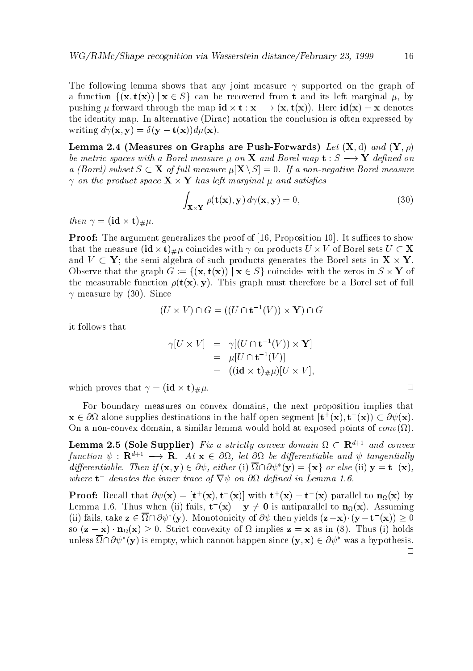The following lemma shows that any joint measure  $\gamma$  supported on the graph of a function fix the function  $\alpha$  is a sequence of the recovered from the sequence  $\alpha$  and  $\alpha$  ,  $\alpha$  ,  $\beta$ pushing  $\mu$  is the map in the map ideas in the map is the map in the map ideas in the map is the map in the map in the map is the map in the map in the map is the map in the map in the map in the map in the map is the ma the identity map. In alternative (Dirac) notation the conclusion is often expressed by writing  $d\gamma(\mathbf{x}, \mathbf{y}) = \delta(\mathbf{y} - \mathbf{t}(\mathbf{x})) d\mu(\mathbf{x}).$ 

Lemma Measures on Graphs are PushForwards Let X d and Y be metric spaces with a Borel measure with  $p$  and Borel measure in the  $\sim$   $\sim$   $\sim$   $\sim$   $\sim$   $\sim$ a Borel subset S (September measure In September 1997) was subseted by the second measurement of the second co  $\gamma$  on the product space  $\mathbf{X} \times \mathbf{Y}$  has left marginal  $\mu$  and satisfies

$$
\int_{\mathbf{X}\times\mathbf{Y}} \rho(\mathbf{t}(\mathbf{x}), \mathbf{y}) d\gamma(\mathbf{x}, \mathbf{y}) = 0,
$$
\n(30)

then  $\gamma = (\mathbf{id} \times \mathbf{t})_{\#} \mu$ .

 $\mathbf P$  argument generalizes the proof of  $\mathbf P$  argument generalizes the proof of  $\mathbf P$ that the measure  $(id \times t)_{\#}\mu$  coincides with  $\gamma$  on products  $U \times V$  of Borel sets  $U \subset X$ and V Y the semi algebra of such products generates the Borel sets in X Y Observe that the graph  $G := \{(\mathbf{x}, \mathbf{t}(\mathbf{x})) \mid \mathbf{x} \in S\}$  coincides with the zeros in  $S \times Y$  of the measurable function  $\rho(\mathbf{t}(\mathbf{x}), \mathbf{y})$ . This graph must therefore be a Borel set of full  $\gamma$  measure by (30). Since

$$
(U \times V) \cap G = ((U \cap {\mathbf{t}}^{-1}(V)) \times {\mathbf{Y}}) \cap G
$$

it follows that

$$
\gamma[U \times V] = \gamma[(U \cap \mathbf{t}^{-1}(V)) \times \mathbf{Y}]
$$
  
=  $\mu[U \cap \mathbf{t}^{-1}(V)]$   
=  $((\mathbf{id} \times \mathbf{t})_{\#}\mu)[U \times V],$ 

which proves that  $\gamma = (\mathbf{id} \times \mathbf{t})_{\#} \mu$ .

For boundary measures on convex domains- the next proposition implies that  ${\bf x} \in \omega$  alone supplies destinations in the half-open segment  $[{\bf t}^+({\bf x}),{\bf t}^-({\bf x})] \subset \partial \psi({\bf x}).$ On a non convex domain- a similar lemma would hold at exposed points of conv

**Lemma 2.5 (Sole Supplier)** Fix a strictly convex aomain  $\Omega \subset \mathbb{R}^{n+1}$  and convex function  $\psi$  :  ${\bf R}^{n+1} \longrightarrow {\bf R}$ . At  ${\bf x} \in \partial M$ , let  $\partial M$  be afferentiable and  $\psi$  tangentially  $a$ ifferentiable. Then if  $(\mathbf{x}, \mathbf{y}) \in O\psi$ , either (1)  $\Omega$   $\Omega(\mathbf{y}) = \{ \mathbf{x} \}$  or else (11)  $\mathbf{y} = \mathbf{t}$   $(\mathbf{x})$ , where  $\mathbf{t}$  -denotes the inner trace of  $\mathbf{v} \psi$  on  $\mathbf{v} \mathbf{u}$  defined in Lemma 1.0.

**Proof:** Recall that  $\mathcal{O}\psi(\mathbf{X}) = [\mathbf{t}^+(\mathbf{X}), \mathbf{t}^-(\mathbf{X})]$  with  $\mathbf{t}^+(\mathbf{X}) = \mathbf{t}^-(\mathbf{X})$  parallel to  $\mathbf{n}_\Omega(\mathbf{X})$  by Lemma 1.0. Thus when (ii) fails,  $\mathbf{t}^-(\mathbf{x}) = \mathbf{y} \neq \mathbf{0}$  is antiparallel to  $\mathbf{n}_\Omega(\mathbf{x})$ . Assuming (ii) fails, take  $z \in \Omega \cap \partial \psi$  (y). Monotonicity of  $\partial \psi$  then yields  $(z - x) \cdot (y - t^2(x)) \geq 0$ so z  $\alpha$  and  $\alpha$  is the strict convexity of  $\alpha$  in  $\alpha$  in  $\alpha$  in  $\alpha$  as in  $\alpha$ unless  $\Omega \cap U\psi$  (y) is empty, which cannot happen since  $(y, x) \in U\psi$  was a hypothesis.  $\Box$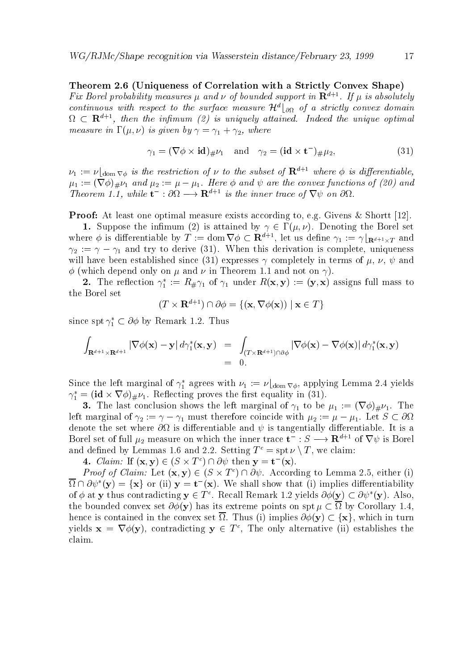Theorem Uniqueness of Correlation with a Strictly Convex Shape Fux Borel probability measures  $\mu$  and  $\nu$  of bounded support in  ${\bf R}^{n+1}$ . If  $\mu$  is absolutely continuous with respect to the surface measure  $\mathcal{H}^d|_{\partial\Omega}$  of a strictly convex domain  $\Omega$   $\subset$   ${\bf R}^{n+1}$ , then the infimum (2) is uniquely attained. Thaeed the unique optimal measure in the contract of the contract of  $\mathcal{U}$  is a structure of the contract of the contract of the contract of the contract of the contract of the contract of the contract of the contract of the contract of the con

$$
\gamma_1 = (\nabla \phi \times \mathbf{id})_{\#} \nu_1 \quad \text{and} \quad \gamma_2 = (\mathbf{id} \times \mathbf{t}^-)_{\#} \mu_2,\tag{31}
$$

 $\nu_1 := \nu_{\text{dom } \nabla \phi}$  is the restriction of  $\nu$  to the subset of  $\mathbf{R}^{n+r}$  where  $\phi$  is differentiable,  $\mathbb{P}^n$  and  $\mathbb{P}^n$  are the convex functions of  $\mathbb{P}^n$  and  $\mathbb{P}^n$  are the convex functions of  $\mathbb{P}^n$  and  $\mathbb{P}^n$ **Theorem 1.1, while**  $\mathbf{t} \to \infty$  **is the inner trace of**  $\mathbf{v} \psi$  **on**  $\omega_{\Omega}$ **.** 

Proof At least one optimal measure exists according to- eg Givens Shortt 

 $\mathcal{L}$  is a the independence in the interesting the interesting the Borel set of  $\mathcal{L}$ where  $\varphi$  is differentiable by  $T := \text{dom } V \varphi \subset \mathbf{R}^{n+1}$ , let us define  $\gamma_1 := \gamma_{\mathbf{R}^{d+1} \times T}$  and reference to derivation is derivative to derivative and the complete-term is complete-term in the complete-ter will have been established since expresses completely in terms of - - and  $\phi$  (which depend only on  $\mu$  and  $\nu$  in Theorem 1.1 and not on  $\gamma$ ).

**2.** The rehection  $\gamma_1 := \mathbb{R} \# \gamma_1$  or  $\gamma_1$  under  $\mathbb{R}(X, Y) := (Y, X)$  assigns full mass to the Borel set

$$
(T \times \mathbf{R}^{d+1}) \cap \partial \phi = \{ (\mathbf{x}, \nabla \phi(\mathbf{x})) \mid \mathbf{x} \in T \}
$$

since spu $\gamma_1 \subset \sigma \varphi$  by Remark 1.2. Thus

$$
\int_{\mathbf{R}^{d+1}\times\mathbf{R}^{d+1}} |\nabla \phi(\mathbf{x}) - \mathbf{y}| d\gamma_1^*(\mathbf{x}, \mathbf{y}) = \int_{(T\times\mathbf{R}^{d+1})\cap \partial \phi} |\nabla \phi(\mathbf{x}) - \nabla \phi(\mathbf{x})| d\gamma_1^*(\mathbf{x}, \mathbf{y})
$$
  
= 0.

Since the left marginal of  $\gamma_1$  agrees with  $\nu_1 := \nu_{\text{Ldom}\nabla\phi}$ , applying Lemma 2.4 yields  $\gamma_1 = (\mathbf{I} \mathbf{a} \times \mathbf{v} \varphi)_{\#}\nu_1$ . Renecting proves the first equality in (51).

The last conclusion shows the left marginal of  $\mu$  is be  $\mu$  to be  $\mu$  the left mass of  $\mu$ left marginal of  $\{L: \ \|\cdot\|_1\}$  and therefore continuous coincide  $f^*\Delta$  is  $f^*\equiv \gamma$  ,  $f^*\equiv \gamma$  ,  $f^*\equiv \gamma$  ,  $f^*\equiv \gamma$ denote the set where  $\partial\Omega$  is differentiable and  $\psi$  is tangentially differentiable. It is a Borel set of full  $\mu_2$  measure on which the inner trace  ${\bf t} \to {\bf S} \longrightarrow {\bf R}^{*++}$  of  ${\bf V}\psi$  is Borel and defined by Lemmas 1.0 and 2.2. Setting  $I^{\pm} = \text{spt} \nu \setminus I$ , we claim:

4. *Claim:* II  $(X, Y) \in (Z \times I) \cup U \cup W$  then  $Y = U(X)$ .

*Proof of Claim:* Let  $(\mathbf{x}, \mathbf{y}) \in (\mathcal{S} \times \mathcal{I}) + (\partial \psi)$ . According to Lemma 2.5, either (1)  $\Omega \cap U \cup V$  (y)  $\equiv \{x\}$  of (ii)  $y \equiv v$  (x). We shall show that (i) implies differentiability of  $\varphi$  at y thus contradicting  $y \in T$ . Recall Remark 1.2 yields  $\partial \varphi(y) \subset \partial \psi$  (y). Also, the bounded convex set  $\partial \phi(\mathbf{y})$  has its extreme points on spt  $\mu \subset \overline{\Omega}$  by Corollary 1.4, hence is contained in the convex set  $\mathcal{L}$  is the convex  $\mathcal{L}$  is  $\mathcal{L}$  in  $\mathcal{L}$  is the convex set  $\mathcal{L}$ yields  $\mathbf{x} = \mathbf{v}\varphi(\mathbf{y})$ , contradicting  $\mathbf{y} \in I$ , the only alternative (ii) establishes the claim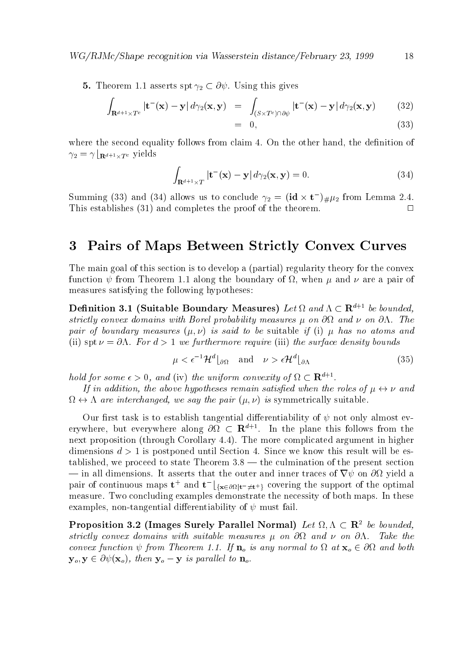The set of the species spin  $\mu$   $\simeq$   $\sigma$   $\tau$  . Vector  $\sigma$  asserts  $\sigma$ 

$$
\int_{\mathbf{R}^{d+1}\times T^c} |\mathbf{t}^-(\mathbf{x}) - \mathbf{y}| d\gamma_2(\mathbf{x}, \mathbf{y}) = \int_{(S\times T^c) \cap \partial \psi} |\mathbf{t}^-(\mathbf{x}) - \mathbf{y}| d\gamma_2(\mathbf{x}, \mathbf{y}) \tag{32}
$$

where the second equality follows from claim  $\mathbf{f}$  follows from claim  $\mathbf{f}$  for  $\mathbf{f}$  $\mathcal{L}$  is a set of  $\mathcal{L}$  and  $\mathcal{L}$  is the set of  $\mathcal{L}$  is the set of  $\mathcal{L}$ 

$$
\int_{\mathbf{R}^{d+1}\times T} |\mathbf{t}^{-}(\mathbf{x}) - \mathbf{y}| d\gamma_2(\mathbf{x}, \mathbf{y}) = 0.
$$
\n(34)

the contract of the contract of the contract of the contract of the contract of the contract of the contract o

Summing (55) and (54) allows us to conclude  $\gamma_2 = (\textbf{Id} \times \textbf{t}) \# \mu_2$  from Lemma 2.4. This establishes  $(31)$  and completes the proof of the theorem.  $\Box$ 

#### Pairs of Maps Between Strictly Convex Curves

The main goal of this section is to develop a (partial) regularity theory for the convex function  $f$  and boundary of  $f$  and boundary of - when  $f$  -  $f$  -  $f$  -  $f$  -  $f$  -  $f$  -  $f$  -  $f$  -  $f$  -  $f$  -  $f$  -  $f$  -  $f$  -  $f$  -  $f$  -  $f$  -  $f$  -  $f$  -  $f$  -  $f$  -  $f$  -  $f$  -  $f$  -  $f$  -  $f$  -  $f$  -  $f$  -  $f$ measures satisfying the following hypotheses

**Denition 3.1** (Suitable Boundary Measures) Let  $\Omega$  and  $\Lambda \subset \mathbb{R}^{n+1}$  be bounded, strictly convex domains with Borel probability measures on and on - The pair of boundary measures  $(\mu, \nu)$  is said to be suitable if (i)  $\mu$  has no atoms and ii specifically denote the surface density of  $\mathcal{N}$  and  $\mathcal{N}$  and  $\mathcal{N}$  and  $\mathcal{N}$  and  $\mathcal{N}$ 

$$
\mu < \epsilon^{-1} \mathcal{H}^d \lfloor_{\partial \Omega} \quad \text{and} \quad \nu > \epsilon \mathcal{H}^d \lfloor_{\partial \Lambda} \tag{35}
$$

hold for some  $\epsilon > 0$ , and (iv) the uniform convexity of  $\Omega \subset \mathbf{R}^{n+1}$ .

If in addition, the above hypotheses remain satisfied when the roles of  $\mu \leftrightarrow \nu$  and  $\Omega \leftrightarrow \Lambda$  are interchanged, we say the pair  $(\mu, \nu)$  is symmetrically suitable.

Our first task is to establish tangential differentiability of  $\psi$  not only almost everywhere, but everywhere along  $\mathcal{O}\Omega\subset\mathbf{R}^{n\times n}$ . In the plane this follows from the next proposition (through Corollary  $4.4$ ). The more complicated argument in higher dimensions  $d > 1$  is postponed until Section 4. Since we know this result will be established-to state Theorem \$ the culmination of the proceed to state Theorem \$ the culmination of the present — in all dimensions. It asserts that the outer and inner traces of  $\nabla \psi$  on  $\partial \Omega$  yield a pair of continuous maps  $\mathbf{t}^+$  and  $\mathbf{t}^ |_{\{ \mathbf{x} \in \partial \Omega | \mathbf{t}^- \neq \mathbf{t}^+ \}}$  covering the support of the optimal measure. Two concluding examples demonstrate the necessity of both maps. In these examples- non tangential dierentiability of must fail

Proposition 5.2 (Tmages Surely Parallel Normal) Let  $\Omega$ ,  $\Lambda \subset \mathbb{R}^2$  be bounded, strictly convex distinctive with suitable measures with an one one on one one on and  $\sim$ convex function is any normal to is any normal to definition of the second to the second control of the second  $\mathbf{y}_o, \mathbf{y} \in \partial \psi(\mathbf{x}_o)$ , then  $\mathbf{y}_o - \mathbf{y}$  is parallel to  $\mathbf{n}_o$ .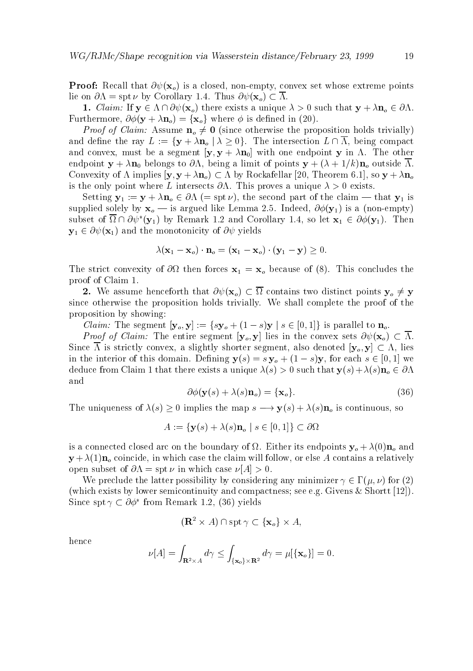empty-ben whose extreme points and the convex set where  $\gamma$  is a convex set whose extreme points and the convex set of lie on  $\partial \Lambda = \operatorname{spt} \nu$  by Corollary 1.4. Thus  $\partial \psi(\mathbf{x}_o) \subset \overline{\Lambda}$ .

 $\alpha$  . Claim if y  $\alpha$  is a unique  $\alpha$  unique that  $\alpha$  unique that  $\alpha$  unique  $\alpha$  is a unique  $\alpha$  of  $\alpha$  $\mathcal{F}$  are constructed in the  $\mathcal{F}$  and  $\mathcal{F}$  are  $\mathcal{F}$  . In the constructed in the set of  $\mathcal{F}$  and  $\mathcal{F}$ 

*Proof of Claim:* Assume  $\mathbf{n}_o \neq \mathbf{0}$  (since otherwise the proposition holds trivially) and decline the ray L intersection L intersection L intersection L intersection L intersection L intersection L and convert and convex-segment y  $\mu$  ,  $\mu$  ,  $\mu$  ,  $\mu$  in  $\mu$  in  $\mu$  in  $\mu$  in  $\mu$  in  $\mu$  in  $\mu$  in  $\mu$  in  $\mu$  in  $\mu$  in  $\mu$  in  $\mu$  in  $\mu$  in  $\mu$  in  $\mu$  in  $\mu$  in  $\mu$  in  $\mu$  in  $\mu$  in  $\mu$  in  $\mu$  in endpoint  $\mathcal{N}$  , and the limit of points y limit of points  $\mathcal{N}$  , and  $\mathcal{N}$  and  $\mathcal{N}$  are contracted in the limit of points  $\mathcal{N}$  and  $\mathcal{N}$ Convexity of implies y y no by Rockafellar - Theorem - so <sup>y</sup> no is the only point where L intersects  $\partial \Lambda$ . This proves a unique  $\lambda > 0$  exists.

 $S$  for a specific  $y$  is a that  $y$  is a that  $s$  that  $y$  is a that  $y$  is a that  $y$  is a that  $y$  is a that  $y$  is a that  $y$  is a that  $y$  is a that  $y$  is a that  $y$  is a that  $y$  is a that  $y$  is a that  $y$  is a th supplied solely by the solely by  $\alpha$  is an observed the Lemma . Indicated the  $\alpha$  is a non-terminal  $\alpha$ subset of  $\Omega$  if  $\partial \psi$  (y<sub>1</sub>) by Remark 1.2 and Corollary 1.4, so let  $\mathbf{x}_1 \in \partial \varphi(\mathbf{y}_1)$ . Then  $y \perp$  and the monotonicity of  $y \perp$ 

$$
\lambda(\mathbf{x}_1 - \mathbf{x}_o) \cdot \mathbf{n}_o = (\mathbf{x}_1 - \mathbf{x}_o) \cdot (\mathbf{y}_1 - \mathbf{y}) \ge 0.
$$

The strict convexity of  $\mathbf{r}$  and  $\mathbf{r}$  because of  $\mathbf{r}$  and  $\mathbf{r}$ proof of Claim 

We assume that  $\mathbf{v}_I$  is two distinct points two distinct points  $\mathbf{v}_I$  ,  $\mathbf{v}_I$ since otherwise the proposition holds trivially. We shall complete the proof of the proposition by showing

*Claim:* The segment  $[\mathbf{y}_o, \mathbf{y}] := \{s\mathbf{y}_o + (1-s)\mathbf{y} \mid s \in [0,1]\}$  is parallel to  $\mathbf{n}_o$ .

*Proof of Claim:* The entire segment  $[\mathbf{y}_o, \mathbf{y}]$  lies in the convex sets  $\partial \psi(\mathbf{x}_o) \subset \overline{\Lambda}$ .  $\mathcal{S}$  is strictly convex-segment-dimensional convex-segment-dimensional convex-segment-dimensional convex-segment-dimensional convex-segment-dimensional convex-segment-dimensional convex-segment-dimensional convex-segm in the interior of the interior of the interior of the interior  $\mathbf{v}$  and  $\mathbf{v}$  is a symplectic function of  $\mathbf{v}$ deduce from Claim 1 that there exists a unique  $\lambda(s) > 0$  such that  $y(s) + \lambda(s) n_o \in \partial \Lambda$ and

$$
\partial \phi(\mathbf{y}(s) + \lambda(s)\mathbf{n}_o) = \{\mathbf{x}_o\}.
$$
\n(36)

The uniqueness of social values of  $\mathcal{U} \setminus \mathcal{V}$  is continuous-social continuous-social continuous-social continuous-social continuous-social continuous-social continuous-social continuous-social continuous-social con

$$
A := \{ \mathbf{y}(s) + \lambda(s)\mathbf{n}_o \mid s \in [0,1] \} \subset \partial\Omega
$$

is a connected closed arc on the boundary of  $\Omega$ . Either its endpoints  $y_o + \lambda(0) n_o$  and  $\mathcal{N}$  in which case the coincide-claim will follow-will follow-will follow-will follow-will follow-will follow-will follow-will follow-will follow-will follow-will follow-will follow-will follow-will follow-will follow open subset of  $\partial \Lambda = \operatorname{spt} \nu$  in which case  $\nu[A] > 0$ .

We preclude the latter possibility by considering any minimizer  $\gamma \in \Gamma(\mu, \nu)$  for (2) (which exists by lower semicontinuity and compactness; see e.g. Givens  $\&$  Shortt [12]). Since spt  $\gamma \subset \mathcal{O}\varphi$  from Remark 1.2, (50) yields

$$
(\mathbf{R}^2 \times A) \cap \operatorname{spt} \gamma \subset {\mathbf{x}_o} \times A
$$
,

hence

$$
\nu[A] = \int_{\mathbf{R}^2 \times A} d\gamma \le \int_{\{\mathbf{x}_o\} \times \mathbf{R}^2} d\gamma = \mu[\{\mathbf{x}_o\}] = 0.
$$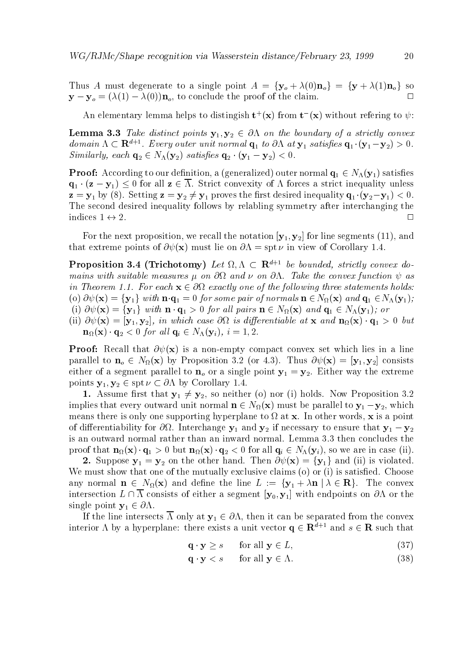Thus A must degenerate to a single point  $A = \{y_o + \lambda(0)\mathbf{n}_o\} = \{y + \lambda(1)\mathbf{n}_o\}$  so  $\Box$  $y \sim 1$  , and the proof of the proof of the proof of the conclusion  $y \sim 1$  , and the conclusion  $y \sim 1$ 

An elementary lemma neips to distingish  $\mathbf{t}^+(\mathbf{x})$  from  $\mathbf{t}^-(\mathbf{x})$  without refering to  $\psi$ :

Lemma Take distinct points y y- on the boundary of <sup>a</sup> strictly convex aomain  $\Lambda \subset \mathbb{R}^{n+1}$ . Every outer unit normal  $\mathbf{q}_1$  to  $\partial \Lambda$  at  $\mathbf{y}_1$  satisfies  $\mathbf{q}_1 \cdot (\mathbf{y}_1 - \mathbf{y}_2) > 0$ . Similarly each q- N y- satis es q- y y- -

 $\begin{array}{ccc} \text{(1)} & \text{(1)} & \text{(2)} & \text{(3)} & \text{(4)} \end{array}$  ${\bf q}$  ,  ${\bf q}$  ,  ${\bf q}$  ,  ${\bf q}$  and  ${\bf q}$  are all strict convexity of the strict inequality under  ${\bf q}$  and  ${\bf q}$  $\tau$  , y-  $\gamma$  , y-rst desired in and  $\gamma$  and  $\gamma$  are the set of the set of the set of the set of  $\gamma$  and  $\gamma$  and  $\gamma$ The second desired inequality follows by relabling symmetry after interchanging the indices  $1 \leftrightarrow 2$ .

For the next proposition- we recall the notation y y- for line segments - and that extreme points of  $\partial \psi(\mathbf{x})$  must lie on  $\partial \Lambda = \text{spt } \nu$  in view of Corollary 1.4.

**Proposition 5.4 (Trichotomy)** Let  $\alpha$ ,  $\Lambda \subset \mathbb{R}^{n+1}$  be bounded, strictly convex abmains with suitable measures on and on -Take the convex function as in Theorem -- For each x exactly one of the fol lowing three statements holds  $\lambda$  , and  $\lambda$  for some pair of  $\lambda$  , and  $\lambda$  and  $\lambda$  and  $\lambda$  and  $\lambda$  and  $\lambda$  and  $\lambda$  and  $\lambda$   $\lambda$  and  $\lambda$  and  $\lambda$  and  $\lambda$  and  $\lambda$  and  $\lambda$  and  $\lambda$  and  $\lambda$  and  $\lambda$  and  $\lambda$  and  $\lambda$  and  $\lambda$  and  $\lambda$  and i x fyg with n q for al l pairs <sup>n</sup> N x and q N y or

ii x y y- in which case is dierentiable at x and n x q but n x q- for al lqi N yi i -

Proof Recall that x is a non empty compact convex set which lies in a line parallel to no  $U$  is a set of the non-set of the set of  $\mathcal{N}$  and  $\mathcal{N}$  is a set of the set of the set of the set of the set of the set of the set of the set of the set of the set of the set of the set of the set o either of a segment parallel to no or a single point  $\mathcal{U} = \{ \mathbf{y} \mid \mathbf{y} \in \mathbb{R}^n : \mathbf{y} \in \mathbb{R}^n : \mathbf{y} \in \mathbb{R}^n : \mathbf{y} \in \mathbb{R}^n \}$ points y y y y corollary corollary corollary corollary corollary corollary corollary corollary corollary corollary

 Assume rst that y y-- so neither o nor i holds Now Proposition implies that every outward unit normal normal n  $\mathbf{N}$  must be parallel to  $\mathbf{N}$  must be parallel to y-formal number of  $\mathbf{N}$  must be parallel to y-formal number of  $\mathbf{N}$  must be parallel to y-formal number of means there is only one supporting hyperplane to at x In other words- x is a point of dierentiability for  $\mathcal{U}$  and y-form  $\mathcal{U}$  and y-form  $\mathcal{U}$  and  $\mathcal{U}$  and  $\mathcal{U}$ is an outward normal rather than an inward normal. Lemma 3.3 then concludes the  $\mathbf{p}$  to the three  $\mathbf{p}$  ,  $\mathbf{q}$  is that no allowed in case is the interest in case in case  $\mathbf{q}$  ,  $\mathbf{q}$ 

Suppose y and the other hand the other hand the other hand in the other hand the other hand in the other hand i We must show that one of the mutually exclusive claims (o) or (i) is satisfied. Choose any construction in the line  $\alpha$  and decrease the convex in the line L interaction in the convex of the convex intersection  $L \cap \overline{\Lambda}$  consists of either a segment  $[\mathbf{y}_0, \mathbf{y}_1]$  with endpoints on  $\partial \Lambda$  or the single point  $y + z = 0$  . The point  $y + z = 0$ 

If the line intersects intersects intersects intersects intersects in the convex of  $\mathbf{r}$ interior  $\Lambda$  by a hyperplane: there exists a unit vector  $\mathbf{q} \in \mathbf{R}^{d+1}$  and  $s \in \mathbf{R}$  such that

$$
\mathbf{q} \cdot \mathbf{y} \ge s \qquad \text{for all } \mathbf{y} \in L,\tag{37}
$$

$$
\mathbf{q} \cdot \mathbf{y} < s \qquad \text{for all } \mathbf{y} \in \Lambda. \tag{38}
$$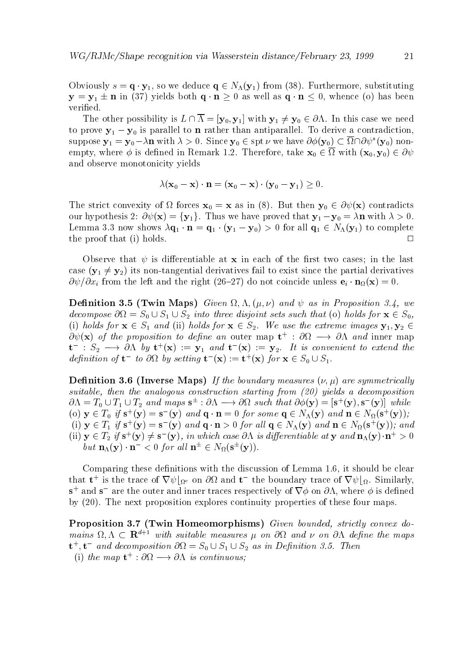Obviously s q y- so we deduce q N y from Furthermore- substituting  $\mathcal{N}$  , which is the property of the state  $\mathcal{N}$  as well as the state of the contract of the contract of the contract of the contract of the contract of the contract of the contract of the contract of the contract o verified.

The other possibility is <sup>L</sup> y y with y y In this case we need to prove y is parallel to n rather than an rather than an antiparallel to derive a contradictionsuppose  $y_1 = y_0 - \lambda n$  with  $\lambda > 0$ . Since  $y_0 \in sp(\nu)$  we have  $\mathcal{O} \varphi(y_0) \subset \mathcal{U} \cap \mathcal{O} \psi$  (y<sub>0</sub>) nonempty- where is de
ned in Remark Therefore- take x with xy and observe monotonicity yields

$$
\lambda(\mathbf{x}_0 - \mathbf{x}) \cdot \mathbf{n} = (\mathbf{x}_0 - \mathbf{x}) \cdot (\mathbf{y}_0 - \mathbf{y}_1) \ge 0.
$$

The strict convexity of  $\Omega$  forces  $\mathbf{x}_0 = \mathbf{x}$  as in (8). But then  $\mathbf{y}_0 \in \partial \psi(\mathbf{x})$  contradicts our hypothesis is the fyg Thus we have proved that y with y with y with y the state of the state of the state o Lemma , we show that the strong  $\mathcal{A}$  is all  $\mathcal{A}$  is all  $\mathcal{A}$  is all  $\mathcal{A}$  is a shown of  $\mathcal{A}$ the proof that (i) holds.  $\square$ 

Observe that  $\psi$  is differentiable at **x** in each of the first two cases; in the last case y y-l- *it al a*lt the tangential to exist since the parties for the parties fails particles the particles of  $\alpha$  from the left and the right  $\alpha$  do not coincide unless eigenvalues eigenvalues eigenvalues eigenvalues eigenvalues eigenvalues eigenvalues eigenvalues eigenvalues eigenvalues eigenvalues eigenvalues eigenvalues eige

Denition Twin Maps Given and as in Proposition - we decompose the sets such that  $\alpha$  is such that of  $\alpha$  is such that of  $\alpha$  is such that of  $\alpha$ if it is an order in the extreme in the extreme in the extreme in the extreme in the extreme in the extreme in  $O \psi(\mathbf{X})$  of the proposition to define an outer map  $\mathbf{t}^+$  :  $O \Omega^+ \longrightarrow O \Lambda^-$  and inner map  $\mathbf{t}$  :  $S_2 \longrightarrow$  ON by  $\mathbf{t}$  ( $\mathbf{x}$ ) :=  $\mathbf{y}_1$  and  $\mathbf{t}$  ( $\mathbf{x}$ ) :=  $\mathbf{y}_2$ . It is convenient to extend the definition of  $\mathbf{t}-\mathbf{t}\circ \mathbf{O}\mathbf{M}$  by setting  $\mathbf{t}-(\mathbf{X}) := \mathbf{t}^+(\mathbf{X})$  for  $\mathbf{X}\in\mathcal{S}_0\cup\mathcal{S}_1$ .

— Inverse Maps Islam and the boundary measures in the boundary measures in the symmetric lynes of the boundary suitable, then the analogous construction starting from  $(20)$  yields a decomposition  $\mathcal{O}\Lambda = I_0 \cup I_1 \cup I_2$  and maps  $S^{\pm}$  :  $\mathcal{O}\Lambda \longrightarrow \mathcal{O}\Lambda$  such that  $\mathcal{O}\phi(\mathbf{y}) = |S^+(y), S^-(y)|$  while (0)  $y \in I_0$  if  $s'(y) = s'(y)$  and  $q \cdot n = 0$  for some  $q \in N_A(y)$  and  $n \in N_B(s'(y))$ ; (1)  $y \in I_1$  if  $s'(y) = s'(y)$  and  $q \cdot n > 0$  for all  $q \in N_\Lambda(y)$  and  $n \in N_\Omega(s'(y))$ ; and (ii)  $y \in I_2$  if  $s' (y) \neq s' (y)$ , in which case on is aifferentiable at y and  $n_A(y) \cdot n' > 0$ *but*  $\mathbf{n}_{\Lambda}(\mathbf{y}) \cdot \mathbf{n} \leq 0$  for all  $\mathbf{n} \in N_{\Omega}(\mathbf{s} \mid \mathbf{y}))$ .

comparing these demonstration of Lemma and the discussion of Lemma  $\sim$  . The discussion of Lemma that **t** is the trace of  $\nabla \psi|_{\Omega^c}$  on  $\partial \Omega$  and **t** the boundary trace of  $\nabla \psi|_{\Omega}$ . Similarly,  $\mathbf{s}^+$  and  $\mathbf{s}^-$  are the outer and inner traces respectively of  $\nabla\phi$  on  $\partial\Lambda$ , where  $\phi$  is defined by  $(20)$ . The next proposition explores continuity properties of these four maps.

Proposition Twin Homeomorphisms Given bounded strictly convex do mains  $\Omega, \Lambda \subset \mathbf{R}^{d+1}$  with suitable measures  $\mu$  on  $\partial\Omega$  and  $\nu$  on  $\partial\Lambda$  define the maps  $\mathbf{t}^{\top}, \mathbf{t}^-$  and decomposition  $\sigma s t = S_0 \cup S_1 \cup S_2$  as in Depinition 3.5. Then (1) the map  $t^* : \sigma_{\Omega} \longrightarrow \sigma_{\Omega}$  is continuous;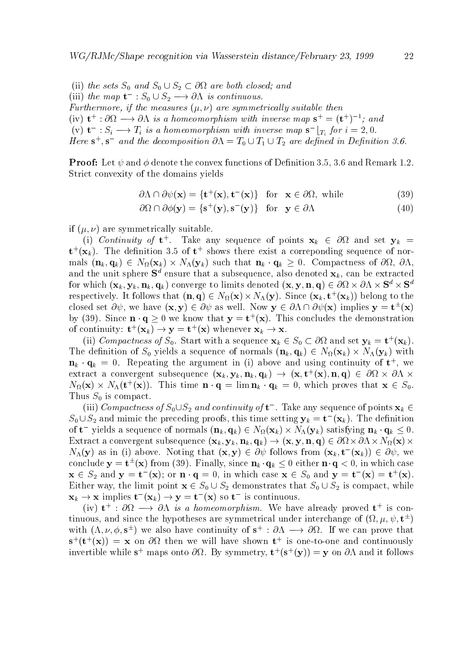is a set set set of  $\alpha$  and  $\alpha$  and  $\alpha$  s and  $\alpha$  sets S and S and S and S and S and S and S and S and S and S and S and S and S and S and S and S and S and S and S and S and S and S and S and S and S and S and S and (iii) the map  $t \to s_0 \cup s_2 \longrightarrow o \Lambda$  is continuous. Furthermore, if the measures  $(\mu, \nu)$  are symmetrically suitable then (iv)  $\mathbf{t}^+ : \partial \Omega \longrightarrow \partial \Lambda$  is a nomeomorphism with inverse map  $\mathbf{s}^+ = (\mathbf{t}^+)$  ; and (v)  $\mathbf{t}$  :  $S_i \longrightarrow I_i$  is a homeomorphism with inverse map  $\mathbf{s}$   $\mid_{T_i}$  for  $i = 2, 0$ . Here  $S^{\dagger}$ ,  $S^{\dagger}$  and the decomposition  $\partial \Lambda = I_0 \cup I_1 \cup I_2$  are defined in Definition 5.0.

Proof Let and denote the convex functions of De
nition - and Remark Strict convexity of the domains yields

$$
\partial \Lambda \cap \partial \psi(\mathbf{x}) = \{ \mathbf{t}^+(\mathbf{x}), \mathbf{t}^-(\mathbf{x}) \} \quad \text{for} \quad \mathbf{x} \in \partial \Omega, \text{ while} \tag{39}
$$

$$
\partial\Omega \cap \partial\phi(\mathbf{y}) = \{\mathbf{s}^+(\mathbf{y}), \mathbf{s}^-(\mathbf{y})\} \quad \text{for} \quad \mathbf{y} \in \partial\Lambda \tag{40}
$$

if  $(\mu, \nu)$  are symmetrically suitable.

(1) Continuity of **t** . Take any sequence of points  $\mathbf{x}_k$   $\in$  ost and set  $\mathbf{y}_k$   $=$  $\mathbf{t}^+( \mathbf{x}_k)$ . The definition 3.5 of  $\mathbf{t}^+$  shows there exist a correponding sequence of normals nk qk N xk N yk such that nk qk Compactness of - and the unit sphere  $S$  -ensure that a subsequence, also denoted  $\mathbf{x}_k$ , can be extracted for which  $(\mathbf{x}_k, \mathbf{y}_k, \mathbf{n}_k, \mathbf{q}_k)$  converge to limits denoted  $(\mathbf{x}, \mathbf{y}, \mathbf{n}, \mathbf{q}) \in \partial\Omega \times \partial\Lambda \times \mathbf{S}^d \times \mathbf{S}^d$ respectively. It follows that  $(\mathbf{n},\mathbf{q})\in N_\Omega(\mathbf{x})\times N_\Lambda(\mathbf{y}).$  Since  $(\mathbf{x}_k,\mathbf{t}^\top(\mathbf{x}_k))$  belong to the closed set  $\partial \psi$ , we have  $(\mathbf{x}, \mathbf{y}) \in \partial \psi$  as well. Now  $\mathbf{y} \in \partial \Lambda \cap \partial \psi(\mathbf{x})$  implies  $\mathbf{y} = \mathbf{t}^{-1}(\mathbf{x})$ by (59). Since  $\mathbf{n} \cdot \mathbf{q} \geq 0$  we know that  $\mathbf{y} = \mathbf{t} \cdot (\mathbf{x})$ . This concludes the demonstration of continuity:  $\mathbf{t}^{\top}(\mathbf{x}_k) \rightarrow \mathbf{y} = \mathbf{t}^{\top}(\mathbf{x})$  whenever  $\mathbf{x}_k \rightarrow \mathbf{x}$ .

(ii) Compactness of  $S_0$ . Start with a sequence  $\mathbf{x}_k \in S_0 \subset \omega_{\Omega}$  and set  $\mathbf{y}_k = \mathbf{t}^+( \mathbf{x}_k)$ . The de
nition of S yields <sup>a</sup> sequence of normals nk qk N xk N yk with  ${\bf n}_k\cdot{\bf q}_k\ =\ {\tt 0.} \ \ \ {\tt Kepler}$  the argument in (1) above and using continuity of  ${\bf t}$  , we extract a convergent subsequence  $(x_k, y_k, \mathbf{n}_k, \mathbf{q}_k) \rightarrow (x, v(x), \mathbf{n}, \mathbf{q}) \in \omega_{\Omega} \times \omega_{\Omega} \times$  $N_{\Omega}({\bf x})\times N_{\Lambda}({\bf t}^{\top}({\bf x})).$  This time  ${\bf n}\cdot {\bf q}=\min {\bf n}_k\cdot {\bf q}_k=0,$  which proves that  ${\bf x}\in S_0.$ Thus S is compact

(iii) Compactness of  $S_0 \cup S_2$  and continuity of  $\mathbf{t}$ . Take any sequence of points  $\mathbf{x}_k \in$  $S_0 \cup S_2$  and mimic the preceding proofs, this time setting  $y_k = t^-(x_k)$ . The definition of t-yields a sequence of normals  $(\mathbf{n}_k, \mathbf{q}_k) \in N_{\Omega}(\mathbf{x}_k) \times N_{\Lambda}(\mathbf{y}_k)$  satisfying  $\mathbf{n}_k \cdot \mathbf{q}_k \leq 0$ .  $\Gamma$  , we denote a convergent subsequence  $\Lambda$  ,  $\Lambda$   $\Lambda$  ,  $\Lambda$  and  $\Lambda$  ,  $\Lambda$  ,  $\Gamma$  ,  $\Lambda$  ,  $\Gamma$  ,  $\Lambda$  ,  $\Gamma$  ,  $\Lambda$  ,  $\Gamma$  ,  $\Lambda$  ,  $\Gamma$  ,  $\Lambda$  ,  $\Gamma$  ,  $\Gamma$  ,  $\Lambda$  ,  $\Gamma$  ,  $\Gamma$  ,  $\Lambda$  ,  $\Gamma$  ,  $\Gamma$  ,  $\Gamma$  ,  $\Gamma$  $N_{\Lambda}(y)$  as in (1) above. Noting that  $(x, y) \in O\psi$  follows from  $(x_k, t_-(x_k)) \in O\psi$ , we conclude  $y = t^-(x)$  from (59). Finally, since  $n_k \cdot q_k \leq 0$  either  $n \cdot q < 0$ , in which case  $\mathbf{x} \in S_2$  and  $\mathbf{y} = \mathbf{t}$  (x); or  $\mathbf{n} \cdot \mathbf{q} = 0$ , in which case  $\mathbf{x} \in S_0$  and  $\mathbf{y} = \mathbf{t}$  (x)  $= \mathbf{t}$  (x). Either way- the limit point x S S- demonstrates that S S- is compact- while  ${\bf x}_k \to {\bf x}$  implies  ${\bf u} \cdot ({\bf x}_k) \to {\bf y}={\bf u} \cdot ({\bf x})$  so  ${\bf u}$  is continuous.

(iv)  $\mathbf{t}^+$  :  $\partial\Omega$   $\longrightarrow$   $\partial\Omega$  is a nomeomorphism. We have already proved  $\mathbf{t}^+$  is con $t$ inuous, and since the hypotheses are symmetrical under interchange of  $(x, \mu, \psi, t^-)$ with  $(\Lambda, \nu, \varphi, s^+)$  we also have continuity of  $s^+$ :  $\partial \Lambda \longrightarrow \partial \Omega$ . If we can prove that  $\mathbf{s}$  (t  $(\mathbf{x})$ )  $=$   $\mathbf{x}$  on  $\sigma\Omega$  then we will have shown t is one-to-one and continuously invertible while  $s^+$  maps onto  $\partial\Omega$ . By symmetry,  $t^+(s^+(y)) = y$  on  $\partial\Omega$  and it follows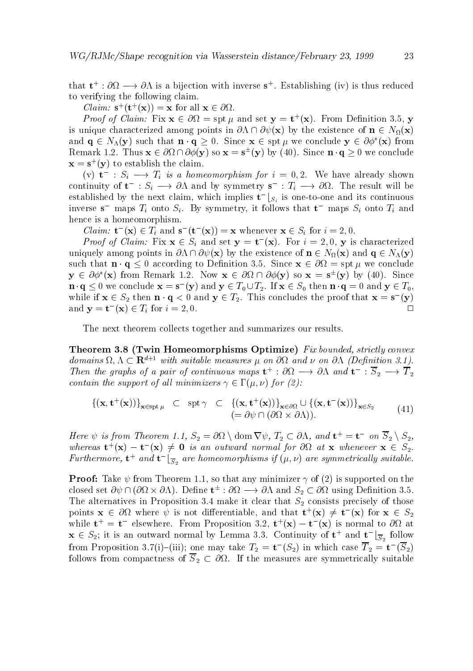that  $t^* : \omega \iota \longrightarrow \omega \Lambda$  is a bijection with inverse  $s^*$ . Establishing (iv) is thus reduced to verifying the following claim

 $U \left( \boldsymbol{\alpha} \right) = \mathbf{x}$  for all  $\mathbf{x} \in \partial \Omega$ .

*Proof of Claim:* Fix  $\mathbf{x} \in \mathcal{O}\Omega = \operatorname{spt} \mu$  and set  $\mathbf{y} = \mathbf{t}^+(\mathbf{x})$ . From Definition 5.5, y is unique characterized among points in  $\partial \Lambda \cap \partial \psi(\mathbf{x})$  by the existence of  $\mathbf{n} \in N_{\Omega}(\mathbf{x})$ and  $\mathbf{q} \in N_{\Lambda}(\mathbf{y})$  such that  $\mathbf{n} \cdot \mathbf{q} \geq 0$ . Since  $\mathbf{x} \in \text{spf}$  we conclude  $\mathbf{y} \in \partial \varphi$  ( $\mathbf{x}$ ) from Remark 1.2. I mus  $\mathbf{x} \in \mathcal{O}(1 + \mathcal{O}(\mathcal{Y}))$  so  $\mathbf{x} = \mathbf{s}$  (y) by (40). Since  $\mathbf{n} \cdot \mathbf{q} \geq 0$  we conclude  ${\bf x} = {\bf s}^+({\bf y})$  to establish the claim.

(v)  $\mathbf{t} \to \mathbf{S}_i \to \mathbf{I}_i$  is a nomeomorphism for  $i = 0, 2$ . We have already shown continuity of  $\mathbf{t} \to \mathcal{S}_i \to \partial \Lambda$  and by symmetry  $\mathbf{s} \to \mathbf{t}_i \to \partial \Omega$ . The result will be established by the next claim, which implies  $\mathbf{t}^{-} [S_i]$  is one-to-one and its continuous inverse s- maps Ti onto Si By symmetry- it follows that t- maps Si onto Ti and hence is a homeomorphism

Claim:  $\mathbf{t} \cdot (\mathbf{x}) \in I_i$  and  $\mathbf{s} \cdot (\mathbf{t} \cdot (\mathbf{x})) = \mathbf{x}$  whenever  $\mathbf{x} \in S_i$  for  $i = 2, 0$ .

*Proof of Claim:* Fix  $\mathbf{x} \in S_i$  and set  $\mathbf{y} = \mathbf{t}$  (x). For  $i = 2, 0, \mathbf{y}$  is characterized uniquely among points in the existence of  $\mathbb{R}^n$  and  $\mathbb{R}^n$  and  $\mathbb{R}^n$  and  $\mathbb{R}^n$  and  $\mathbb{R}^n$ such that  $\eta$  or  $\eta$  is the specific to Definition of  $\eta$  ,  $\eta$  ,  $\eta$  and  $\eta$  we conclude  $\eta$  $y \in U\mathcal{Q}$  (X) from Remark 1.2. Now  $x \in U\Omega + U\mathcal{Q}(y)$  so  $x = s$  (y) by (40). Since  $\mathbf{n} \cdot \mathbf{q} \leq 0$  we conclude  $\mathbf{x} = \mathbf{s}$  (y) and  $\mathbf{y} \in T_0 \cup T_2$ . If  $\mathbf{x} \in S_0$  then  $\mathbf{n} \cdot \mathbf{q} = 0$  and  $\mathbf{y} \in T_0$ , while if  $\mathbf{x} \in S_2$  then  $\mathbf{n} \cdot \mathbf{q} \leq 0$  and  $\mathbf{y} \in I_2$ . This concludes the proof that  $\mathbf{x} = \mathbf{s}^-(\mathbf{y})$  $\Box$ and  $y = t$   $(x) \in I_i$  for  $i = 2, 0$ .

The next theorem collects together and summarizes our results.

Theorem Twin Homeomorphisms Optimize Fix bounded strictly convex aomains  $\Omega, \Lambda \subseteq \mathbf{R}^{n+1}$  with suitable measures  $\mu$  on  $\partial \Omega$  and  $\nu$  on  $\partial \Lambda$  (Definition 3.1). Then the graphs of a pair of continuous maps  $t^* : \partial \Omega \longrightarrow \partial \Lambda$  and  $t^* : S_2 \longrightarrow I_2$ contain the support of all minimizers  $\gamma \in \Gamma(\mu, \nu)$  for (2):

$$
\{(\mathbf{x}, \mathbf{t}^+(\mathbf{x}))\}_{\mathbf{x}\in \text{spt }\mu} \quad \subset \quad \text{spt }\gamma \quad \subset \quad \{(\mathbf{x}, \mathbf{t}^+(\mathbf{x}))\}_{\mathbf{x}\in \partial\Omega} \cup \{(\mathbf{x}, \mathbf{t}^-(\mathbf{x}))\}_{\mathbf{x}\in S_2} \tag{41}
$$
\n
$$
(= \partial \psi \cap (\partial \Omega \times \partial \Lambda)).
$$

Here  $\psi$  is from Theorem 1.1,  $S_2 = O\Omega \setminus \text{dom } V\psi$ ,  $I_2 \subset O\Lambda$ , and  $\mathbf{t}^+ = \mathbf{t}^-$  on  $S_2 \setminus S_2$ , whereas  $\mathbf{t} \cdot (\mathbf{x}) - \mathbf{t} \cdot (\mathbf{x}) \neq \mathbf{0}$  is an outward normal for  $\phi_{\mathbf{M}}$  at  $\mathbf{x}$  whenever  $\mathbf{x} \in S_2$ . Furthermore,  $\mathbf{t}^-$  and  $\mathbf{t}^-_{-\overline{S}_2}$  are homeomorphisms if  $(\mu,\nu)$  are symmetrically suitable.

Proof Take from Theorem - so that any minimizer of is supported on the closed set  $\partial \psi \cap (\partial \Omega \times \partial \Lambda)$ . Define  $\mathfrak{t}^- : \partial \Omega \longrightarrow \partial \Lambda$  and  $S_2 \subset \partial \Omega$  using Definition 5.5. The alternatives in Proposition in Proposition in Proposition in Proposition in  $\mathcal{S}_\mathcal{A}$ points  $\mathbf{x} \in \partial \Omega$  where  $\psi$  is not dimerentiable, and that  $\mathbf{t}^+(\mathbf{x}) \neq \mathbf{t}^-(\mathbf{x})$  for  $\mathbf{x} \in S_2$ while  $\mathbf{t}^+ = \mathbf{t}^-$  elsewhere. From Proposition 5.2,  $\mathbf{t}^+ (\mathbf{x}) = \mathbf{t}^- (\mathbf{x})$  is normal to  $\partial \Omega$  at  $\mathbf{x} \in \mathcal{D}_2$ ; it is an outward normal by Lemma 3.3. Continuity of  $\mathbf{t}^+$  and  $\mathbf{t}^ \vert \overline{\xi}^-$  follow Sfrom Proposition 5.7(1)–(10); one may take  $T_2 = t_-(5_2)$  in which case  $T_2 = t_-(5_2)$ follows from compactness of S-  $\sim$   $\Delta$   $\sim$   $\sim$  the measures are symmetrically suitable suitable symmetrically suitable symmetrically suitable symmetrically suitable symmetrically suitable symmetrically suitable symmet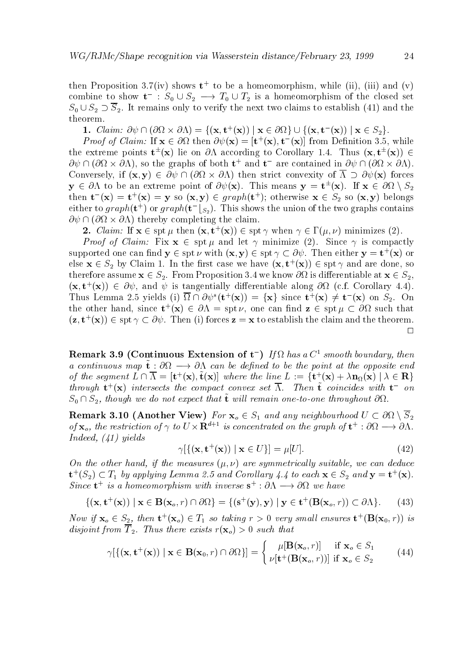then Proposition  $3.7(1V)$  shows the to be a nomeomorphism, while  $(11)$ ,  $(111)$  and  $(V)$ combine to show  $t \to s_0 \cup s_2 \longrightarrow t_0 \cup t_2$  is a nomeomorphism of the closed set S S-  S- It remains only to verify the next two claims to establish and the theorem

1. Clarm:  $\sigma \psi \sqcup (\sigma \iota \times \sigma \iota) = \{(\mathbf{x}, \mathbf{t} \mid (\mathbf{x})) \mid \mathbf{x} \in \sigma \iota \iota \} \cup \{(\mathbf{x}, \mathbf{t} \mid (\mathbf{x})) \mid \mathbf{x} \in \sigma \iota \iota \iota$ 

*Proof of Clarine*. If  $\mathbf{x} \in \partial \Omega$  then  $\partial \psi(\mathbf{x}) = [\mathbf{t}^{\top}(\mathbf{x}), \mathbf{t}^{\top}(\mathbf{x})]$  from Definition 5.5, while the extreme points **t**  $(X)$  he on  $\partial \Lambda$  according to Corollary 1.4. Thus  $(X, t | X)$   $\in$  $\mathcal{O}\psi \sqcup (\mathcal{O}\Omega \times \mathcal{O}\Lambda)$ , so the graphs of both  $\mathbf{t}^+$  and  $\mathbf{t}^-$  are contained in  $\mathcal{O}\psi \sqcup (\mathcal{O}\Omega \times \mathcal{O}\Lambda)$ .  $\mathcal{L}$  if  $\mathcal{L}$  , then strict convexity of  $\mathcal{L}$  for  $\mathcal{L}$  for  $\mathcal{L}$  $y \in \partial \Lambda$  to be an extreme point of  $\partial \psi(x)$ . This means  $y = \mathbf{t}^-(x)$ . If  $\mathbf{x} \in \partial \Omega \setminus \mathcal{S}_2$ then  $\mathbf{t}$   $(\mathbf{x}) = \mathbf{t}^{\top}(\mathbf{x}) = \mathbf{y}$  so  $(\mathbf{x}, \mathbf{y}) \in graph(\mathbf{t}^{\top})$ ; otherwise  $\mathbf{x} \in \mathcal{S}_2$  so  $(\mathbf{x}, \mathbf{y})$  belongs either to  $graph(t^+)$  or  $graph(t^-[s_2])$  . This shows the union of the two graphs contains  $\partial \psi \cap (\partial \Omega \times \partial \Lambda)$  thereby completing the claim.

**4.** Claim: If  $\mathbf{x} \in \text{spt } \mu$  then  $(\mathbf{x}, \mathbf{t} | (\mathbf{x})) \in \text{spt } \gamma$  when  $\gamma \in \Gamma(\mu, \nu)$  minimizes (2).

*Proof of Claim:* Fix  $x \in spt \mu$  and let  $\gamma$  minimize (2). Since  $\gamma$  is compactly supported one can lind  $y \in \text{spt} \nu$  with  $(x, y) \in \text{spt} \gamma \subset \sigma \psi$ . Then either  $y = v^+(x)$  or else  $\mathbf{x} \in S_2$  by Claim 1. In the first case we have  $(\mathbf{x}, \mathbf{t} \cdot (\mathbf{x})) \in \text{spt} \, \gamma$  and are done, so therefore as summer form which is different to proposition is different to we know the second contract of  $\leq \kappa_{\Delta}$  )  $(\mathbf{x}, \mathbf{t}^{\top}(\mathbf{x})) \in \partial \mathcal{W}$ , and  $\mathcal{W}$  is tangentially differentiable along  $\partial \Omega$  (c.f. Corollary 4.4). Thus Lemma 2.5 yields (1)  $\Omega \cap \mathcal{O}\psi$  ( $\mathbf{t}^+(\mathbf{x})$ ) = { $\mathbf{x}$ } since  $\mathbf{t}^+(\mathbf{x}) \neq \mathbf{t}^-(\mathbf{x})$  on  $S_2$ . On the other hand, since  $\mathbf{t}^+(x) \in \partial \Lambda = \text{spt } \nu$ , one can lind  $\mathbf{z} \in \text{spt } \mu \subset \partial \Omega$  such that  $(z, t^+(x)) \in \text{spt } \gamma \subset \partial \psi$ . Then (1) forces  $z = x$  to establish the claim and the theorem.  $\Box$ 

**Remark 5.9 (Continuous Extension of t-)** If it has a C  $\epsilon$  smooth boundary, then  $a$  continuous map **t** . Or  $\alpha$  is the can be achieve to be the point at the opposite end of the segment  $L \cap \Lambda = [\mathbf{t}^* (\mathbf{x}), \mathbf{t} (\mathbf{x})]$  where the line  $L := \{ \mathbf{t}^* (\mathbf{x}) + \lambda \mathbf{n}_\Omega(\mathbf{x}) \mid \lambda \in \mathbf{R} \}$  $unround$   $\mathbf{t}$   $\mathbf{x}$  intersects the compact convex set  $\Lambda$ . Then  $\mathbf{t}$  coincides with  $\mathbf{t}-on$  $\omega_0$  ,  $\omega_2$ , though we av not expect that  $\mathbf v$  will remain one-to-one throughout  $\omega_2$ .

 $\mathcal{A}$  . Another Viewer State  $\mathcal{A}$  , and any neighbourhood U  $\mathcal{A}$  and  $\mathcal{A}$ of  ${\bf x}_o$ , the restriction of  $\gamma$  to  $U\times {\bf R}^{n+1}$  is concentrated on the graph of  ${\bf t}^+:\sigma_\lambda t\longrightarrow\sigma_\Lambda$ . Indeed,  $(41)$  yields

$$
\gamma[\{(\mathbf{x}, \mathbf{t}^+(\mathbf{x})) \mid \mathbf{x} \in U\}] = \mu[U].\tag{42}
$$

On the other hand, if the measures  $(\mu, \nu)$  are symmetrically suitable, we can deduce  $\mathbf{t}^+(S_2) \subset I_1$  by applying Lemma 2.5 and Corollary 4.4 to each  $\mathbf{x} \in S_2$  and  $\mathbf{y} \equiv \mathbf{t}^+( \mathbf{x}).$ Since  $\mathbf{t}$  is a nomeomorphism with inverse  $\mathbf{s}^+$  :  $\partial \Lambda \longrightarrow \partial \Omega$  we have

$$
\{(\mathbf{x}, \mathbf{t}^+(\mathbf{x})) \mid \mathbf{x} \in \mathbf{B}(\mathbf{x}_o, r) \cap \partial \Omega\} = \{(\mathbf{s}^+(\mathbf{y}), \mathbf{y}) \mid \mathbf{y} \in \mathbf{t}^+(\mathbf{B}(\mathbf{x}_o, r)) \subset \partial \Lambda\}.
$$
 (43)

Now if  $\mathbf{x}_o \in S_2$ , then  $\mathbf{t}^+( \mathbf{x}_o) \in I_1$  so taking  $r > 0$  very small ensures  $\mathbf{t}^+( \mathbf{B}(\mathbf{x}_0,r))$  is disjoint from T - there exists rate is not that the exists rate in the exists rate in the exists rate in the e -

$$
\gamma[\{(\mathbf{x}, \mathbf{t}^+(\mathbf{x})) \mid \mathbf{x} \in \mathbf{B}(\mathbf{x}_0, r) \cap \partial \Omega\}] = \begin{cases} \mu[\mathbf{B}(\mathbf{x}_o, r)] & \text{if } \mathbf{x}_o \in S_1 \\ \nu[\mathbf{t}^+(\mathbf{B}(\mathbf{x}_o, r))] & \text{if } \mathbf{x}_o \in S_2 \end{cases} (44)
$$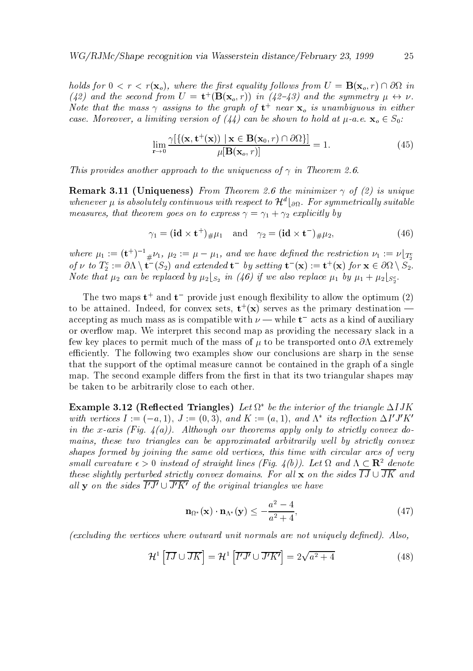holds for  $0 < r < r(\mathbf{x}_o)$ , where the first equality follows from  $U = \mathbf{B}(\mathbf{x}_o, r) \cap \partial\Omega$  in (42) and the second from  $U = \mathbf{t}^{\top}(\mathbf{B}(\mathbf{x}_o, r))$  in (42-43) and the symmetry  $\mu \leftrightarrow \nu$ . Note that the mass  $\gamma$  assigns to the graph of  $\mathbf{t}^+$  near  $\mathbf{x}_o^+$  is unambiguous in either case-over a limit is a limiting version of called a site shown to hold at a-re-over  $\sim$   $\sim$   $\sim$   $\sim$   $\sim$ 

$$
\lim_{\mathbf{r}\to 0} \frac{\gamma[\{(\mathbf{x}, \mathbf{t}^+(\mathbf{x})) \mid \mathbf{x} \in \mathbf{B}(\mathbf{x}_0, r) \cap \partial\Omega\}]}{\mu[\mathbf{B}(\mathbf{x}_0, r)]} = 1.
$$
\n(45)

This provides another approach to the uniqueness of in Theorem --

remarks and the minimizers in the minimizer of minimizers of  $\mathbb{R}^n$  , is uniqueness of  $\mathbb{R}^n$ whenever  $\mu$  is absolutely continuous with respect to  $\boldsymbol{\pi}$   $_{\partial\Omega}$ . For symmetricatly suitable measures that the total three contributions in the total term of the total term of the total term of the term o

$$
\gamma_1 = (\mathbf{id} \times \mathbf{t}^+)_\# \mu_1 \quad \text{and} \quad \gamma_2 = (\mathbf{id} \times \mathbf{t}^-)_\# \mu_2,\tag{46}
$$

where  $\mu_1 := (\mathbf{t}^{\top})^{-1} {}_\# \nu_1$ ,  $\mu_2 := \mu - \mu_1$ , and we have defined the restriction  $\nu_1 := \nu \lfloor_{T_2^c}$ of  $\nu$  to  $I_2 := \partial \Lambda \setminus t$  ( $S_2$ ) and extended t- by setting  $t$  (**x**) :=  $t^+(x)$  for  $x \in \partial \Omega \setminus S_2$ .  $\mu_1$  boo man  $\mu_2$  can be replaced by  $\mu_2$  [ $S_2$  and  $(\pi \vee \theta)$  if  $\omega$  also neplace  $\mu_1$  by  $\mu_1$  +  $\mu_2$  [ $S_2$ ].

The two maps  $t$  and  $t$  -provide just enough hexibility to allow the optimum  $(z)$ to be attained. Indeed, for convex sets,  $t^+(x)$  serves as the primary destination accepting as much mass as is compatible with  $\nu$  — while  ${\bf t}-$  acts as a kind of auxiliary or over#ow map We interpret this second map as providing the necessary slack in a few key places to permit much of the mass of  $\mu$  to be transported onto  $\partial\Lambda$  extremely efficiently. The following two examples show our conclusions are sharp in the sense that the support of the optimal measure cannot be contained in the graph of a single map. The second example differs from the first in that its two triangular shapes may be taken to be arbitrarily close to each other

**Example 5.12 (Reflected Triangles)** Let  $\Omega$  be the interior of the triangle  $\Delta I J K$ with vertices  $I := (-a, 1), J := (0, 0),$  and  $K := (a, 1),$  and  $K$  its reflection  $\Delta I$  J K in the xaxis Fig-distribution of the strictly convex does not to strictly convex does not be a strictly convex mains, these two triangles can be approximated arbitrarily well by strictly convex shapes formed by joining the same old vertices, this time with circular arcs of very small curvature  $\epsilon > 0$  instead of straight lines (Fig. 4(0)). Let  $\Omega$  and  $\Lambda \subset \mathbf{R}^*$  denote these slightly perturbed strictly convex domains- For al l x on the sides IJ JK and all **y** on the sides  $\overline{I'J'} \cup \overline{J'K'}$  of the original triangles we have

$$
\mathbf{n}_{\Omega^*}(\mathbf{x}) \cdot \mathbf{n}_{\Lambda^*}(\mathbf{y}) \le -\frac{a^2 - 4}{a^2 + 4},\tag{47}
$$

excluding the vertices where outward unit normals are not uniquely de ned- Also

$$
\mathcal{H}^1 \left[ \overline{IJ} \cup \overline{JK} \right] = \mathcal{H}^1 \left[ \overline{I'J'} \cup \overline{J'K'} \right] = 2\sqrt{a^2 + 4} \tag{48}
$$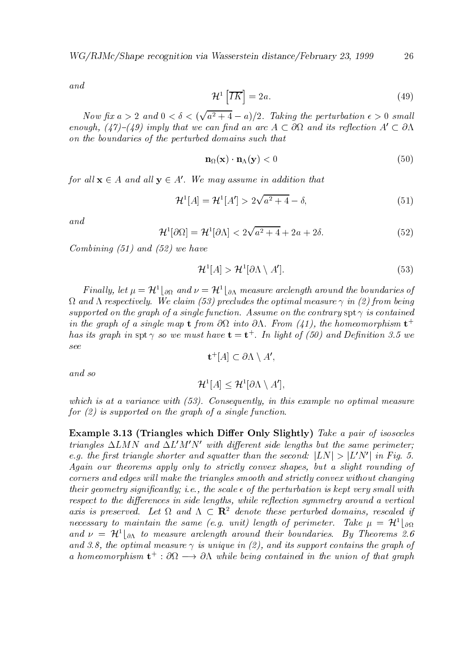and

$$
\mathcal{H}^1\left[\overline{IK}\right] = 2a.\tag{49}
$$

Now fix  $a > 2$  and  $0 < \delta < (\sqrt{a^2 + 4} - a)/2$ . Taking the perturbation  $\epsilon > 0$  small enough,  $(47)-(49)$  imply that we can find an arc  $A \subset \partial\Omega$  and its reflection  $A' \subset \partial\Lambda$ on the boundaries of the perturbed domains such that

$$
\mathbf{n}_{\Omega}(\mathbf{x}) \cdot \mathbf{n}_{\Lambda}(\mathbf{y}) < 0 \tag{50}
$$

for all  $\mathbf{x} \in A$  and all  $\mathbf{y} \in A$ . We may assume in addition that

$$
\mathcal{H}^{1}[A] = \mathcal{H}^{1}[A'] > 2\sqrt{a^{2} + 4} - \delta,
$$
\n(51)

and

$$
\mathcal{H}^1[\partial\Omega] = \mathcal{H}^1[\partial\Lambda] < 2\sqrt{a^2 + 4} + 2a + 2\delta. \tag{52}
$$

Combining  $(51)$  and  $(52)$  we have

$$
\mathcal{H}^1[A] > \mathcal{H}^1[\partial \Lambda \setminus A']\tag{53}
$$

**F** matty, tet  $\mu = H^{\scriptscriptstyle{\text{I}}}$  |  $_{\partial\Omega}$  and  $\nu = H^{\scriptscriptstyle{\text{I}}}$  |  $_{\partial\Lambda}$  measure arclength around the boundaries of and in the optimal measure the optimal measure in the optimal measure in the optimal measure in the optimal me supported on the graph of a single function- Assume on the contrary spt is contained in the graph of a single map  $t$  from Ost into OA. From (41), the homeomorphism  $t$ has us graph in  $\text{spt} \, \gamma$  so we must have  $\mathbf{t} = \mathbf{t}^*$  . In light of (50) and Definition 3.5 we

$$
\mathbf{t}^+[A] \subset \partial \Lambda \setminus A',
$$
 and so

$$
\mathcal{H}^1[A] \leq \mathcal{H}^1[\partial \Lambda \setminus A'],
$$

 $\mathbf{r}$  is at a variance with  $\mathbf{r}$  in this example no optimal measurement in this example no optimal measurement in this example  $\mathbf{r}$ for  $(2)$  is supported on the graph of a single function.

Example Triangles which Dier Only Slightly Take a pair of isosceles triangles  $\Delta LMN$  and  $\Delta L'M'N'$  with different side lengths but the same perimeter; e.g. the first triangle shorter and squatter than the second:  $|LN| \ge |L|N|$  in Fig. 5. Again our theorems apply only to strictly convex shapes, but a slight rounding of corners and edges will make the triangles smooth and strictly convex without changing their geometry significantly interesting in the perturbation is kept very small like the perturbation is kept v  $respect to the differences in side lengths, while reflection symmetry around a vertical$ axis is preserved. Let  $\Omega$  and  $\Lambda \subset \mathbf{R}^-$  denote these perturbed domains, rescaled if necessary to maintain the same (e.g. unit) tength of perimeter. Lake  $\mu~=~{\cal H}^+|_{\partial\Omega}$ and  $\nu = |n^-\rangle_{\partial\Lambda}$  to measure arclength around their boundaries. By Theorems 2.0 and - the optimal measure is unique in and its support contains the graph of a nomeomorphism  $\mathbf{t}^+ : \mathcal{O}\Omega \to \mathcal{O}\Lambda$  while being contained in the union of that graph

26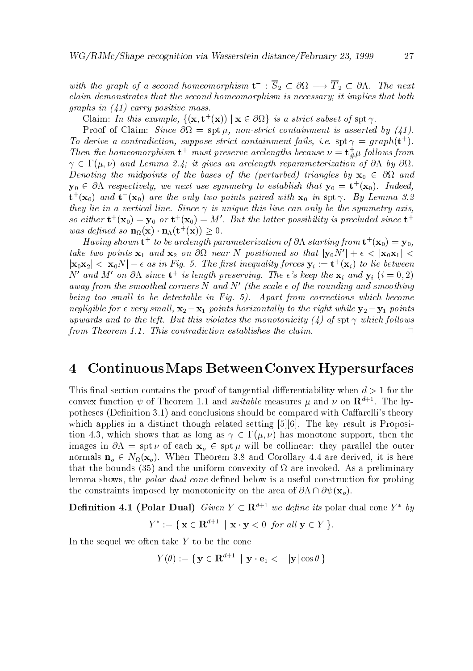with the graph of a secona nomeomorphism  $\mathbf{t} \to \mathbf{S}_2 \subset \mathbf{O}\Omega \longrightarrow \mathbf{I}_2 \subset \mathbf{O}\Lambda$ . The next claim demonstrates that the second homeomorphism is necessary; it implies that both graphs in  $(41)$  carry positive mass.

URRIM: In this example,  $\{(\mathbf{X}, \mathbf{U} \mid \mathbf{X})) \mid \mathbf{X} \in \partial \Omega\}$  is a strict subset of  $\text{Spt } \gamma$ .

Proof of Claim: Since  $\partial\Omega = \text{spt }\mu$ , non-strict containment is asserted by (41). To derive a contradiction, suppose strict containment faus, i.e.  $\text{spt} \gamma = \text{graph}(V)$ . Then the homeomorphism  ${\bf t}^+$  must preserve arclengths because  $\nu = {\bf t}_\# \mu$  follows from and Lemma - it gives an architecture and the construction of  $\alpha$  or  $\alpha$  and  $\alpha$  by  $\alpha$  $D$  and the middles of the bases of the perturbed triangles by  $D$  and  $D$  and  $D$  and  $D$  and  $D$  and  $D$  and  $D$  and  $D$  and  $D$  and  $D$  and  $D$  and  $D$  and  $D$  and  $D$  and  $D$  and  $D$  and  $D$  and  $D$  and  $D$  and  $D$  an  $\mathbf{y}_0\ \in\ \mathit{O}\Lambda\,$  respectively, we next use symmetry to establish that  $\mathbf{y}_0\ =\ \mathbf{t}^+(\mathbf{x}_0)$ . Indeed,  ${\bf t}^+( {\bf x}_0)$  and  ${\bf t}^-( {\bf x}_0)$  are the only two points paired with  ${\bf x}_0$  in  ${\rm spt}$   $\gamma$ . By Lemma 5.2 they lie in a vertical lines with a vertical line can only be this line symmetry and symmetry and so either  $\mathbf{t}^+(\mathbf{x}_0) = \mathbf{y}_0$  or  $\mathbf{t}^+(\mathbf{x}_0) = M$  . But the tatter possibility is precluded since  $\mathbf{t}^+$ was defined so  $\mathbf{n}_{\Omega}(\mathbf{x}) \cdot \mathbf{n}_{\Lambda}(\mathbf{t} \cdot (\mathbf{x})) \geq 0$ .

Having shown  $\mathbf{t}^+$  to be arclength parameterization of ON starting from  $\mathbf{t}^+(\mathbf{x}_0)=\mathbf{y}_0$ , take two points  $\mathbf{x}_1$  and  $\mathbf{x}_2$  on Ost near iv positioned so that  $\mathbf{y}_0$ iv  $+ \epsilon < |\mathbf{x}_0 \mathbf{x}_1| <$  $|\mathbf{x}_0\mathbf{x}_2| < |\mathbf{x}_0\mathbf{x}| - \epsilon$  as in Fig. 5. The first inequality forces  $\mathbf{y}_i := \mathbf{t}^+(\mathbf{x}_i)$  to the between In and M- on ON since  ${\mathbf t}^+$  is length preserving. The  $\epsilon$  s keep the  ${\mathbf x}_i$  and  ${\mathbf y}_i$   $(i=0,2)$ away from the smoothed corners N and N' (the scale  $\epsilon$  of the rounding and smoothing being too smal l to be detectable in Fig- - Apart from corrections which become negligible for very small ly to the right while you was what when you will be a small while you will be a small up to this violates the left-but this violates the monotonicity in the monotonicity is specifically the monotonic  $\Box$ from Theorem -- This contradiction establishes the claim-

#### ContinuousMaps BetweenConvex Hypersurfaces  $\overline{\mathbf{4}}$

This final section contains the proof of tangential differentiability when  $d > 1$  for the convex function  $\psi$  of Theorem 1.1 and suitable measures  $\mu$  and  $\nu$  on  ${\bf R}^{n+1}.$  The hypotheses (Definition 3.1) and conclusions should be compared with Caffarelli's theory which applies in a distinct though related setting  $[5][6]$ . The key result is Proposition - which shows that as long as has monotone support- then the images in  $\partial \Lambda = \text{spt } \nu$  of each  $\mathbf{x}_o \in \text{spt } \mu$  will be collinear: they parallel the outer normals no  $N$  . The  $N$  MHz  $N$  MHz  $N$  MHz  $N$  MHz  $N$  MHz  $N$  MHz  $N$  MHz  $N$  MHz  $N$  MHz  $N$  MHz  $N$  MHz  $N$  MHz  $N$  MHz  $N$  MHz  $N$  MHz  $N$  MHz  $N$  MHz  $N$  MHz  $N$  MHz  $N$  MHz  $N$  MHz  $N$  MHz  $N$  MHz  $N$  MHz  $N$  MHz that the bounds (35) and the uniform convexity of  $\Omega$  are invoked. As a preliminary lemma shows- the polar dual cone de
ned below is a useful construction for probing the constraints imposed by monotonicity on the area of  $\partial \Lambda \cap \partial \psi(\mathbf{x}_o)$ .

**Denition 4.1 (Polar Dual)** Given  $Y \subset \mathbb{R}^{n+1}$  we define its polar dual cone  $Y = \partial y$  $Y := \{ \mathbf{X} \in \mathbf{R}^n : \mathbf{X} \cdot \mathbf{y} \leq 0 \text{ for all } \mathbf{y} \in Y \}$ .

In the sequel we often take  $Y$  to be the cone

$$
Y(\theta) := \{ \hspace{1mm} \mathbf{y} \in \mathbf{R}^{d+1} \hspace{1mm} \vert \hspace{1mm} \mathbf{y} \cdot \mathbf{e}_1 < -\vert \mathbf{y} \vert \cos \theta \hspace{1mm} \}
$$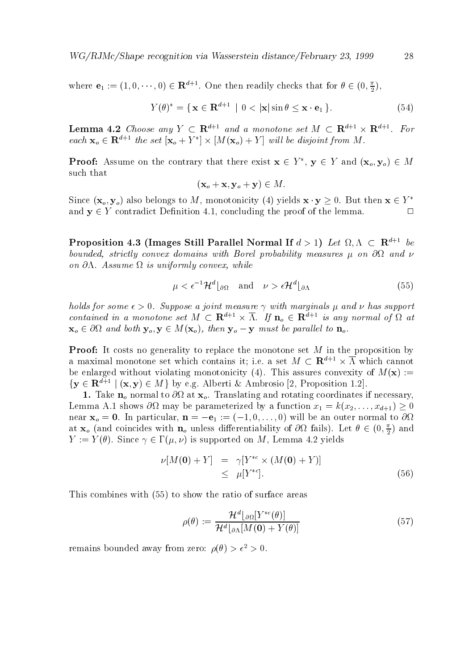$W \cup I \cup W$ C $\cup$  shape recognition via Wasserstein distance/February 20, 1999

where  $e_1 := (1,0,\dots,0) \in \mathbf{R}^{n+1}$ . One then readily checks that for  $\theta \in (0,\frac{1}{2})$ ,

$$
Y(\theta)^* = \{ \mathbf{x} \in \mathbf{R}^{d+1} \mid 0 < |\mathbf{x}| \sin \theta \le \mathbf{x} \cdot \mathbf{e}_1 \}. \tag{54}
$$

**Lemma 4.2** Choose any  $Y \subset \mathbb{R}^{n+1}$  and a monotone set  $M \subset \mathbb{R}^{n+1} \times \mathbb{R}^{n+1}$ . For each  $\mathbf{x}_o \in \mathbf{R}^{n+1}$  ine set  $|\mathbf{x}_o + Y| \times |M(\mathbf{x}_o) + Y|$  will be associate from M.

**Proof:** Assume on the contrary that there exist  $\mathbf{x} \in T$ ,  $\mathbf{y} \in T$  and  $(\mathbf{x}_o, \mathbf{y}_o) \in M$ such that

$$
(\mathbf{x}_o + \mathbf{x}, \mathbf{y}_o + \mathbf{y}) \in M.
$$

Since  $(x_o, y_o)$  also belongs to M, monotonicity (4) yields  $x \cdot y \geq 0$ . But then  $x \in Y$ and  $\alpha$  y  $\alpha$  is the contradict Definition  $\alpha$  and  $\alpha$  concluding the proof of the proof of the lemma  $\alpha$ 

Proposition 4.5 (Timages Still Parallel Normal II  $a > 1$ ) Let  $\Omega, \Lambda \subset \mathbf{R}^{n+1}$  be bounded, strictly convex domains with Borel probability measures  $\mu$  on  $\partial\Omega$  and  $\nu$ on **cost se** is uniformly constructed which is united to the set of the set of the set of the set of the set of t

$$
\mu < \epsilon^{-1} \mathcal{H}^d \vert_{\partial \Omega} \quad \text{and} \quad \nu > \epsilon \mathcal{H}^d \vert_{\partial \Lambda} \tag{55}
$$

holds for some - Suppose a joint measure with marginals and has support contained in a monotone set  $M \subseteq \mathbf{R}^{n+1} \times \Lambda$ . If  $\mathbf{n}_o \in \mathbf{R}^{n+1}$  is any normal of  $\Omega$  at  $\mathbf{x}_o \in \partial\Omega$  and both  $\mathbf{y}_o, \mathbf{y} \in M(\mathbf{x}_o)$ , then  $\mathbf{y}_o - \mathbf{y}$  must be parallel to  $\mathbf{n}_o$ .

**Proof:** It costs no generality to replace the monotone set  $M$  in the proposition by a maximal monotone set which contains it; i.e. a set  $M \subset \mathbf{R}^{d+1} \times \overline{\Lambda}$  which cannot be enlarged without violating monotonicity (4). This assures convexity of  $M(\mathbf{x}) :=$  $\{y \in \mathbf{R}^n : |(x, y) \in M\}$  by e.g. Alberti & Ambrosio [2, Proposition 1.2].

Take no notes to the second to at at at  $T$  at  $\alpha$  at  $\alpha$   $\alpha$   $\alpha$  and  $\alpha$  and  $\alpha$  are contrary-seconding if Lemma A $\mu$  shows  $\mu$  and  $\mu$  function  $\mu$  function  $\mu$  function  $\mu$  function  $\mu$  function  $\mu$  $\mathsf{U}$  in particular-value  $\mathsf{I}$  in the angle of  $\mathsf{I}$  in the angle  $\mathsf{I}$ at  ${\bf x}_o$  (and coincides with  ${\bf n}_o$  unless differentiability of  $\sigma\Omega$  fails). Let  $\theta\in (0,\frac{\pi}{2})$  and y y y supported on M-S yields and M-S yields are the most contributed on  $\sim$  , and the support of  $\sim$ 

$$
\nu[M(\mathbf{0}) + Y] = \gamma[Y^{*c} \times (M(\mathbf{0}) + Y)]
$$
  
\n
$$
\leq \mu[Y^{*c}].
$$
\n(56)

This combines with  $(55)$  to show the ratio of surface areas

$$
\rho(\theta) := \frac{\mathcal{H}^d \lfloor \partial \Omega [Y^{*c}(\theta)]}{\mathcal{H}^d \lfloor \partial \Lambda [M(\mathbf{0}) + Y(\theta)]}
$$
(57)

remains bounded away from zero:  $\rho(\theta) > \epsilon^2 > 0$ .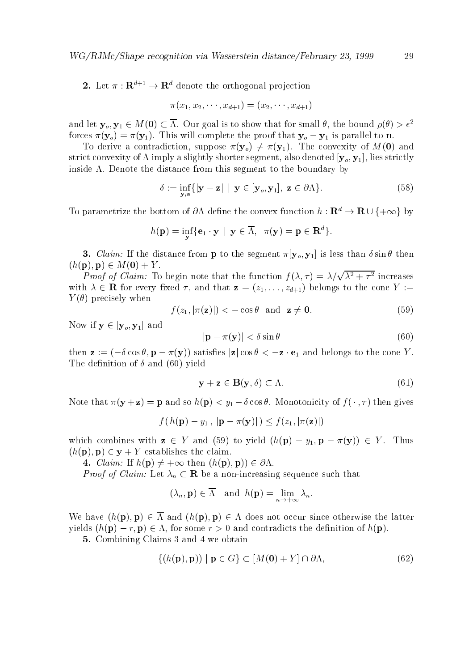**2.** Let  $\pi : \mathbf{R}^{\dagger} \to \mathbf{R}^{\dagger}$  denote the orthogonal projection

$$
\pi(x_1, x_2, \cdots, x_{d+1}) = (x_2, \cdots, x_{d+1})
$$

and let  $\mathbf{y}_o, \mathbf{y}_1 \in M(\mathbf{U}) \subset \Lambda$ . Our goal is to show that for small  $\theta$ , the bound  $\rho(\theta) > \epsilon^ \mathcal{W}(U)$  and  $\mathcal{W}(U)$  are proof that if the proof that  $\mathcal{W}(U)$  is parallel to not the proof to normalize that  $\mathcal{W}(U)$  and  $\mathcal{W}(U)$  are parallel to normalize that  $\mathcal{W}(U)$  and  $\mathcal{W}(U)$  are proof to normaliz

 $\mathcal{Y}$  if wo introduced the contradictionstrict convexity shorterly  $\alpha$  shorter segment-construction segment-construction  $Q$   $Q$   $Q$   $Q$   $Q$ inside  $\Lambda$ . Denote the distance from this segment to the boundary by

$$
\delta := \inf_{\mathbf{y},\mathbf{z}} \{ |\mathbf{y} - \mathbf{z}| \mid \mathbf{y} \in [\mathbf{y}_o, \mathbf{y}_1], \mathbf{z} \in \partial \Lambda \}. \tag{58}
$$

To parametrize the bottom of  $\partial \Lambda$  define the convex function  $\mu : \mathbf{R}^* \to \mathbf{R} \cup \{+\infty\}$  by

$$
h(\mathbf{p}) = \inf_{\mathbf{y}} \{ \mathbf{e}_1 \cdot \mathbf{y} \,\mid\, \mathbf{y} \in \overline{\Lambda}, \;\; \pi(\mathbf{y}) = \mathbf{p} \in \mathbf{R}^d \}.
$$

 $\sim$  . Observe from the distance from p to the sequence from  $\sim$  1.0 MHz  $\sim$  1.1 m than  $\sim$  since the since  $\sim$  $(h(\mathbf{p}), \mathbf{p}) \in M(\mathbf{0}) + Y.$ 

*Proof of Claim:* To begin note that the function  $f(\lambda, \tau) = \lambda/\sqrt{\lambda^2 + \tau^2}$  increases  $z = \begin{bmatrix} 1 & 1 & 1 \\ 1 & 1 & 1 \end{bmatrix}$  $Y(\theta)$  precisely when

$$
f(z_1, |\pi(\mathbf{z})|) < -\cos\theta \text{ and } \mathbf{z} \neq \mathbf{0}.
$$
 (59)

Now if  $\mathbf{y} \in [\mathbf{y}_o, \mathbf{y}_1]$  and

$$
|\mathbf{p} - \pi(\mathbf{y})| < \delta \sin \theta \tag{60}
$$

then z  $\alpha$  , and belongs to  $\alpha$  ,  $\beta$  ,  $\beta$  is the cost of the cone  $\alpha$  is the cone  $\alpha$  and  $\alpha$  is the cone  $\alpha$  . The definition of  $\delta$  and (60) yield

$$
\mathbf{y} + \mathbf{z} \in \mathbf{B}(\mathbf{y}, \delta) \subset \Lambda. \tag{61}
$$

 $\mathcal{P} \subset \mathcal{P}$  ,  $\mathcal{P} \subset \mathcal{P}$  ,  $\mathcal{P} \subset \mathcal{P}$  ,  $\mathcal{P} \subset \mathcal{P}$  ,  $\mathcal{P} \subset \mathcal{P}$  ,  $\mathcal{P} \subset \mathcal{P}$  ,  $\mathcal{P} \subset \mathcal{P}$  ,  $\mathcal{P} \subset \mathcal{P}$  ,  $\mathcal{P} \subset \mathcal{P}$  ,  $\mathcal{P} \subset \mathcal{P}$  ,  $\mathcal{P} \subset \mathcal{P}$  ,  $\mathcal{P} \subset \mathcal$ 

$$
f(h(\mathbf{p}) - y_1, |\mathbf{p} - \pi(\mathbf{y})|) \leq f(z_1, |\pi(\mathbf{z})|)
$$

where we have a set of  $\mathcal{Y} = \{y \in \mathcal{Y} \mid y \in \mathcal{Y} \mid y \in \mathcal{Y}\}$  and  $\mathcal{Y} = \{y \in \mathcal{Y} \mid y \in \mathcal{Y}\}$  $(h(\mathbf{p}), \mathbf{p}) \in \mathbf{y} + Y$  establishes the claim.

 $\mathcal{L}$  . The property is the property of the property of  $\mathcal{L}$  ,  $\mathcal{L}$  ,  $\mathcal{L}$  ,  $\mathcal{L}$  ,  $\mathcal{L}$  ,  $\mathcal{L}$  ,  $\mathcal{L}$  ,  $\mathcal{L}$  ,  $\mathcal{L}$  ,  $\mathcal{L}$  ,  $\mathcal{L}$  ,  $\mathcal{L}$  ,  $\mathcal{L}$  ,  $\mathcal{L}$  ,  $\mathcal{L}$ 

 $P$ ring sequence such that  $P$  is the contract that  $P$  is a such that the sequence such that  $P$ 

$$
(\lambda_n, \mathbf{p}) \in \overline{\Lambda}
$$
 and  $h(\mathbf{p}) = \lim_{n \to +\infty} \lambda_n$ .

We have  $(h(\mathbf{p}), \mathbf{p}) \in \Lambda$  and  $(h(\mathbf{p}), \mathbf{p}) \in \Lambda$  does not occur since otherwise the latter yields  $(h(\mathbf{p}) - r, \mathbf{p}) \in \Lambda$ , for some  $r > 0$  and contradicts the definition of  $h(\mathbf{p})$ .

component component component contracts of the component of the contracts of the contracts of the contracts of

$$
\{(h(\mathbf{p}), \mathbf{p})) \mid \mathbf{p} \in G\} \subset [M(\mathbf{0}) + Y] \cap \partial \Lambda,\tag{62}
$$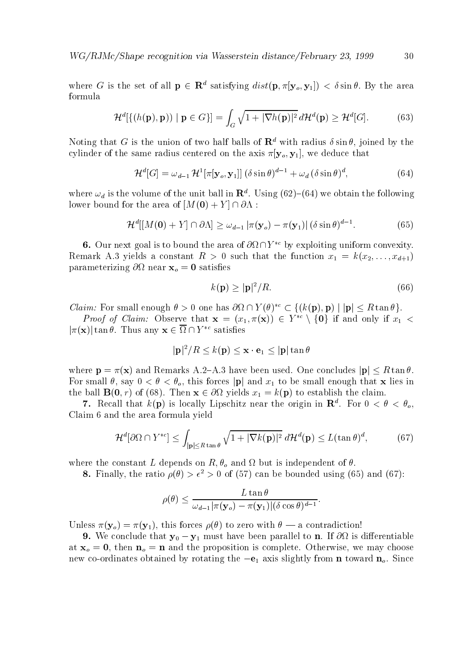$W \cup I \cup W$ C $\cup$  shape recognition via Wasserstein distance/February 20, 1999

where G is the set of all  $\mathbf{p} \in \mathbf{R}^n$  satisfying  $aisu(\mathbf{p}, \pi | \mathbf{y}_o, \mathbf{y}_1 |) < o \sin \theta$ . By the area formula

$$
\mathcal{H}^{d}[\{(h(\mathbf{p}), \mathbf{p})) \mid \mathbf{p} \in G\}] = \int_{G} \sqrt{1 + |\nabla h(\mathbf{p})|^2} \, d\mathcal{H}^{d}(\mathbf{p}) \ge \mathcal{H}^{d}[G]. \tag{63}
$$

Noting that G is the union of two half balls of  $R$  with radius  $\theta$  sin  $\theta$ , joined by the cylinder of the same radius centered on the axis yo y- we deduce that

$$
\mathcal{H}^{d}[G] = \omega_{d-1} \, \mathcal{H}^{1}[\pi[\mathbf{y}_{o}, \mathbf{y}_{1}]] \, (\delta \sin \theta)^{d-1} + \omega_{d} \, (\delta \sin \theta)^{d}, \tag{64}
$$

where  $\omega_d$  is the volume of the unit ball in  $\mathbf{R}^n$ . Using (02)–(04) we obtain the following lower bound for the area of  $[M(\mathbf{0}) + Y] \cap \partial \Lambda$ :

$$
\mathcal{H}^{d}[[M(\mathbf{0})+Y]\cap\partial\Lambda]\geq\omega_{d-1}|\pi(\mathbf{y}_o)-\pi(\mathbf{y}_1)|(\delta\sin\theta)^{d-1}.\tag{65}
$$

**O.** Our next goal is to bound the area of  $\partial \Omega \cap I$  by exploiting uniform convexity. remarks a such that the function  $\alpha$  , we have that the function  $\alpha$  if  $\alpha$  if  $\alpha$  if  $\alpha$  if  $\alpha$ parameterizing  $\partial\Omega$  near  $\mathbf{x}_o = \mathbf{0}$  satisfies

$$
k(\mathbf{p}) \ge |\mathbf{p}|^2 / R. \tag{66}
$$

Claim: For small enough  $\theta > 0$  one has  $\mathcal{O}(t+1)$  ( $\theta$ )  $\in \{K(\mathbf{p}), \mathbf{p}\}\cup \{\mathbf{p}\}\leq R$  tan  $\theta$ ).

*Proof of Claim:* Observe that  $\mathbf{x} = (x_1, \pi(\mathbf{x})) \in Y \setminus \{0\}$  if and only if  $x_1 <$  $\left| \mathcal{U}(X) \right|$  tan $\sigma$ . Thus any  $X \in \mathcal{U} \cup \mathcal{U}$  satisfies

$$
|\mathbf{p}|^2/R \leq k(\mathbf{p}) \leq \mathbf{x} \cdot \mathbf{e}_1 \leq |\mathbf{p}| \tan \theta
$$

where p  $\mathcal{X} = \mathcal{X}$  and Remarks A have been used One concludes just been used  $\mathcal{X} = \mathcal{X}$ For small - say o- this forces jpj and x to be small enough that <sup>x</sup> lies in the ball  $\alpha$  represents  $\alpha$  and  $\alpha$  is the contract the claim the claim  $\alpha$  to establish the contract of  $\alpha$ 

*t*. Recall that  $\kappa(\mathbf{p})$  is locally Lipschitz near the origin in  $\mathbf{R}$ . For  $0 < \sigma < \sigma_o$ , Claim 6 and the area formula yield

$$
\mathcal{H}^{d}[\partial\Omega \cap Y^{*c}] \le \int_{|\mathbf{p}| \le R \tan \theta} \sqrt{1 + |\nabla k(\mathbf{p})|^2} \, d\mathcal{H}^{d}(\mathbf{p}) \le L(\tan \theta)^d,\tag{67}
$$

where the constant L depends on  $R, \theta_o$  and  $\Omega$  but is independent of  $\theta$ .

**8.** Finally, the ratio  $\rho(\theta) > \epsilon^2 > 0$  of (57) can be bounded using (65) and (67):

$$
\rho(\theta) \leq \frac{L \tan \theta}{\omega_{d-1} |\pi(\mathbf{y}_o) - \pi(\mathbf{y}_1)| (\delta \cos \theta)^{d-1}}.
$$

 $\mathbf{y} = \left\{ \begin{array}{ccc} \mathbf{y} & \mathbf{y} & \mathbf{y} & \mathbf{y} & \mathbf{y} & \mathbf{y} & \mathbf{y} & \mathbf{y} & \mathbf{y} & \mathbf{y} & \mathbf{y} & \mathbf{y} & \mathbf{y} & \mathbf{y} & \mathbf{y} & \mathbf{y} & \mathbf{y} & \mathbf{y} & \mathbf{y} & \mathbf{y} & \mathbf{y} & \mathbf{y} & \mathbf{y} & \mathbf{y} & \mathbf{y} & \mathbf{y} & \mathbf{y} & \mathbf{y} & \mathbf{y}$ 

we conclude that  $\frac{1}{2}$  ,  $\frac{1}{2}$  is different to the first have been parallel to note that  $\frac{1}{2}$ at the proposition  $\sim$   $\mu$  and the proposition is completed Otherwise-Complete Otherwise-Complete Otherwisenew co ordinates obtained by rotating the e axis slightly from <sup>n</sup> toward no Since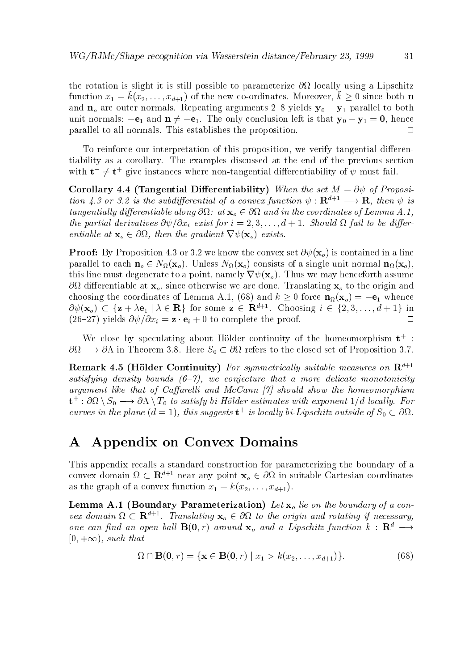the rotation is slight it is still possible to parameterize  $\partial\Omega$  locally using a Lipschitz function  $x_1 = \kappa(x_2, \ldots, x_{d+1})$  of the new co-ordinates. Moreover,  $\kappa \geq 0$  since both **n** and  $n_o$  are outer normals. Repeating arguments 2-8 yields  $y_0 - y_1$  parallel to both where the only conclusion is that  $\mu$  is the only conclusion left is that  $\mu$   $y$   $\mu$   $\rightarrow$   $\mu$  -for  $\mu$   $\mu$ parallel to all normals. This establishes the proposition.  $\Box$ 

To reinforce our interpretation of this proposition- we verify tangential dieren tiability as a corollary The examples discussed at the end of the previous section with  $t-\neq t$  give instances where non-tangential differentiability of  $\psi$  must fail.

restation and the set of the set of Proposition and the set  $\mathcal{S}_\mathcal{X}$  are set  $\mathcal{S}_\mathcal{X}$  . The set  $\mathcal{S}_\mathcal{X}$ tion 4.3 or 3.2 is the subdifferential of a convex function  $\psi : \mathbf{R}^{++} \longrightarrow \mathbf{R}$ , then  $\psi$  is tangential ly diepensymmetrial ly diepensymmetric and in the coordinates of Lemma A-  $\alpha$  and  $\alpha$ the particle is the particle of interesting  $\mu$  is the form  $\mu$  in the distribution of  $\mu$  is the distribution of  $\mu$ entiable at  $\mathbf{x}_o \in \partial \Omega$ , then the gradient  $\nabla \psi(\mathbf{x}_o)$  exists.

**Proof:** By Proposition 4.3 or 3.2 we know the convex set  $\partial \psi(\mathbf{x}_o)$  is contained in a line parallel to each  $\mathbf{n}_o \in N_{\Omega}(\mathbf{x}_o)$ . Unless  $N_{\Omega}(\mathbf{x}_o)$  consists of a single unit normal  $\mathbf{n}_{\Omega}(\mathbf{x}_o)$ , this line must degenerate to a point-bound-bound-bound-bound-bound-bound-bound-bound-bound-bound-bound-bound-bound-bound-bound-bound-bound-bound-bound-bound-bound-bound-bound-bound-bound-bound-bound-bound-bound-bound-boun dierentiable at xo-dierentiable at xo-done we are done Translating and the original weak were and choosing the coordinates of Lemma Andrew Architecture of Lemma Andrew American American American American American  $\mathcal{O}\psi(\mathbf{x}_o) \subset \{z + \lambda e_1 \mid \lambda \in \mathbf{R}\}\$  for some  $z \in \mathbf{R}^{n+1}$ . Choosing  $i \in \{2, 3, ..., a+1\}\$  in  $\lambda = 1$  , we complete the proof of  $\lambda$  , we consider the proof of  $\lambda$  . The proof of  $\lambda$ 

We close by speculating about Holder continuity of the homeomorphism t  $\mathbf{F}$  in Theorem II in Theorem S  $\mathbf{F}$  refers to the closed set of Proposition  $\mathbf{F}$ 

**Remark 4.5 (Holder Continuity)** For symmetrically suitable measures on  $R^+$ satisfying density bounds  $(6-7)$ , we conjecture that a more delicate monotonicity argument like that of Caffarelli and McCann  $\lceil \gamma \rceil$  should show the homeomorphism  ${\mathbf t}^+ : {\mathcal O}\Omega \setminus {\mathcal O}_0 \longrightarrow {\mathcal O}\Lambda \setminus {\mathcal I}_0$  to satisfy or-Holder estimates with exponent  $1/a$  tocally. For curves in the plane  $(a = 1)$ , this suggests  $t^{\alpha}$  is locally vi-Lipschitz outside of  $S_0 \subset O\Omega$ .

#### A Appendix on Convex Domains

This appendix recalls a standard construction for parameterizing the boundary of a convex domain  $\Omega \subset \mathbf{R}^{d+1}$  near any point  $\mathbf{x}_o \in \partial\Omega$  in suitable Cartesian coordinates as the graph of a convex function  $\mathbf{r}$  function  $\mathbf{r}$  and  $\mathbf{r}$  and  $\mathbf{r}$ 

Lemma A Boundary Parameterization Let xo lie on the boundary of a con vex aomain  $\Omega \subset \mathbf{R}^{n+1}$ . Translating  $\mathbf{x}_o \in O\Omega$  to the origin and rotating if necessary, one can find an open ball  $B(0, r)$  around  $x_o$  and a Lipschitz function  $k : \mathbf{R}^d \longrightarrow$  $[0, +\infty)$ , such that

$$
\Omega \cap \mathbf{B}(0, r) = \{ \mathbf{x} \in \mathbf{B}(0, r) \mid x_1 > k(x_2, \dots, x_{d+1}) \}.
$$
 (68)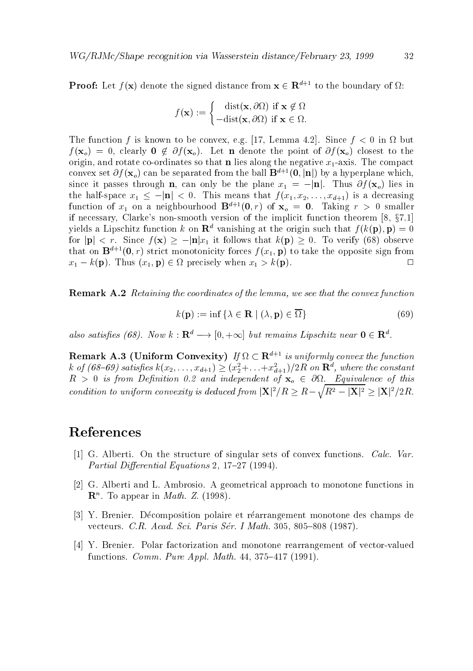**Proof:** Let  $f(\mathbf{x})$  denote the signed distance from  $\mathbf{x} \in \mathbb{R}^{d+1}$  to the boundary of  $\Omega$ :

$$
f(\mathbf{x}) := \begin{cases} \operatorname{dist}(\mathbf{x}, \partial \Omega) & \text{if } \mathbf{x} \notin \Omega \\ -\operatorname{dist}(\mathbf{x}, \partial \Omega) & \text{if } \mathbf{x} \in \Omega. \end{cases}
$$

. The function function function function function  $\mathcal{L}^{\text{max}}$  is a single-function function function function  $\mathcal{L}^{\text{max}}$  $f$  , we can also constant to the point of  $f$  and  $f$  and  $f$  and  $f$  and  $f$  of  $f$  of  $f$  of  $f$  of  $f$  of  $f$  of  $f$  of  $f$  of  $f$  or  $f$  or  $f$  or  $f$  or  $f$  or  $f$  or  $f$  or  $f$  or  $f$  or  $f$  or  $f$  or  $f$  or  $f$  or origin- and rotate co ordinates so that n lies along the negative x axis The compact convex set  $\partial f(\mathbf{x}_o)$  can be separated from the ball  $\mathbf{B}^{d+1}(\mathbf{0}, |\mathbf{n}|)$  by a hyperplane which. since it passes through n-1 can only be the planet  $\mathbb{P}_1$  , when  $\mathbb{P}_1$  in the plane  $\mathbb{P}_2$  (1-0) decay for the half is a space  $\mathcal{J} \setminus \mathcal{I}$  is a decreasing  $\mathcal{J} \setminus \mathcal{I}$  is a decreasing  $\mathcal{I} \setminus \mathcal{I}$ function of  $x_1$  on a neighbourhood  $D^{n+1}(0,T)$  of  $x_0 = 0$ . Taking  $r > 0$  smaller if necessary- Clarkes non smooth version of the implicit function theorem - x%  yields a Lipschitz function k on  $\mathbf{R}^d$  vanishing at the origin such that  $f(k(\mathbf{p}), \mathbf{p}) = 0$ for jpj  $r$  , and  $r$  it follows that it follows that  $\alpha$  it follows that  $\alpha$  is that  $\alpha$  is the serve  $\alpha$ that on  $\mathbf{B}^{d+1}(\mathbf{0},r)$  strict monotonicity forces  $f(x_1,\mathbf{p})$  to take the opposite sign from  $\Box$  $x \mapsto \mathbf{r}$  ,  $\mathbf{r}$  ,  $\mathbf{r}$  ,  $\mathbf{r}$  ,  $\mathbf{r}$  ,  $\mathbf{r}$  ,  $\mathbf{r}$  ,  $\mathbf{r}$  ,  $\mathbf{r}$  ,  $\mathbf{r}$  ,  $\mathbf{r}$  ,  $\mathbf{r}$  ,  $\mathbf{r}$  ,  $\mathbf{r}$  ,  $\mathbf{r}$  ,  $\mathbf{r}$  ,  $\mathbf{r}$  ,  $\mathbf{r}$  ,  $\mathbf{r}$  ,  $\mathbf{r}$ 

Remark A Retaining the coordinates of the lemma we see that the convex function

$$
k(\mathbf{p}) := \inf \{ \lambda \in \mathbf{R} \mid (\lambda, \mathbf{p}) \in \overline{\Omega} \}
$$
\n(69)

also satisfies (08). INOW  $\kappa : \mathbf{R}^* \longrightarrow 0, +\infty$  out remains Lipschitz near  $\mathbf{0} \in \mathbf{R}^*$ .

**Remark A.5** (Uniform Convexity) If  $\Omega \subset \mathbb{R}^{n+1}$  is uniformly convex the function  $\kappa$  of (08–09) satisfies  $\kappa(x_2,\ldots,x_{d+1})\geq (x_2+\ldots+x_{d+1})/2K$  on  ${\bf R}^n$ , where the constant R is from De nition - and independent of xo - Equivalence of this condition to uniform convexity is deduced from  $|\mathbf{X}|^2/R > R - \sqrt{R^2 - |\mathbf{X}|^2} > |\mathbf{X}|^2/2R$ .

#### References

- $\blacksquare$  and structure of singular sets of convex functions  $\blacksquare$ Partial Dierential Equations - %"%
- [2] G. Alberti and L. Ambrosio. A geometrical approach to monotone functions in  $\bf{n}$  . To appear in *math.*  $\bf{Z}$ . (1998).
- [3] Y. Brenier. Décomposition polaire et réarrangement monotone des champs de vecteurs C-mathematics C-mathematics C-math-based on the control of the control of the control of the control o
- Y Brenier Polar factorization and monotone rearrangement of vector valued functions Comm- Pure Appl- Math- - %" %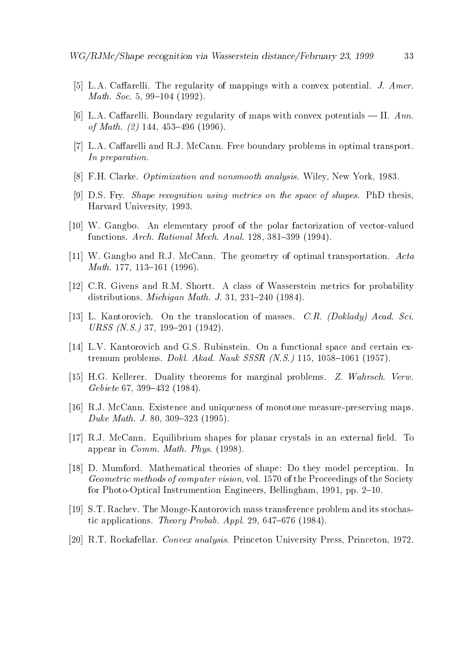- La Carelli Carelli The regularity of mappings with a convex potential J- convex potential J- (1999) Math- Soc- - "
- [6] L.A. Caffarelli. Boundary regularity of maps with convex potentials II.  $Ann.$ of Math- - "
- [7] L.A. Caffarelli and R.J. McCann. Free boundary problems in optimal transport. In preparation.
- FH Clarke Optimization and nonsmooth analysis Wiley- New York-
- [9] D.S. Fry. *Shape recognition using metrics on the space of shapes*. PhD thesis. Harvard University-
- W Gangbo An elementary proof of the polar factorization of vector valued functions Architecture Architecture Architecture Architecture Architecture Architecture Architecture Architect
- [11] W. Gangbo and R.J. McCann. The geometry of optimal transportation.  $Acta$  $\mathcal{M}$  and  $\mathcal{M}$  are the set of  $\mathcal{M}$  and  $\mathcal{M}$  are the set of  $\mathcal{M}$
- [12] C.R. Givens and R.M. Shortt. A class of Wasserstein metrics for probability distribution and Michigan Mathematics Michigan Mathematics Michigan Mathematics Michigan Mathematics Michigan M
- ich album and the translocation of masses  $\alpha$  the translocation of  $\alpha$ URSS N-S- %- "
- $[14]$  L.V. Kantorovich and G.S. Rubinstein. On a functional space and certain extremum problems Doklar N-S-SSSR N-S-SSR N-S-SSR N-S-SSR N-S-SSR N-S-SSR N-S-SSR N-S-SSR N-S-SSR N-S-SSR N-S-S
- ity the construction of marginal problems for marginal problems  $\mathbb{R}^{n}$  . It will construct the set Gebiete %- "
- RJ McCann Existence and uniqueness of monotone measure preserving maps Duke Math- J- - "
- [17] R.J. McCann. Equilibrium shapes for planar crystals in an external field. To appear in Commence in Commence and the communication of the communication of the communication of the communication of the communication of the communication of the communication of the communication of the communication o
- [18] D. Mumford. Mathematical theories of shape: Do they model perception. In Geometric methods of computer vision- vol % of the Proceedings of the Society for Photo Optical Instrumention Engineers- Bellingham- - pp "
- ST Rachev The Monge Kantorovich mass transference problem and its stochas tic applications the probability of the probability of the probability of the probability of the probability of the probability of the probability of the probability of the probability of the probability of the probability
- RT Rockafellar Convex analysis Princeton University Press- Princeton- %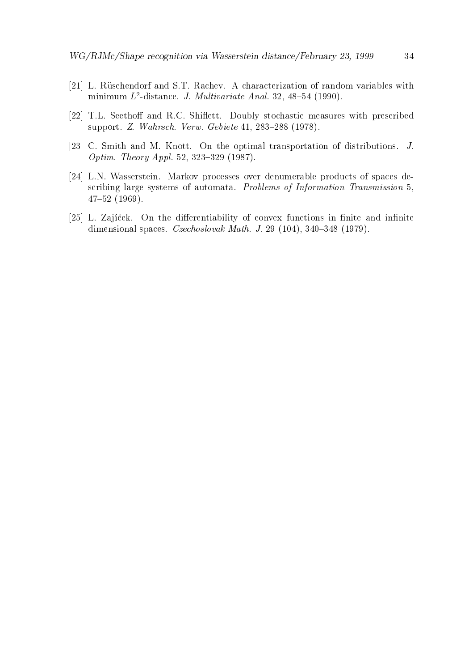- [21] L. Rüschendorf and S.T. Rachev. A characterization of random variables with  $\min$ iminimum  $L$ -aistance. J. *Multivariate Anal.* 32, 48–54 (1990).
- [22] T.L. Seethoff and R.C. Shiflett. Doubly stochastic measures with prescribed support 2- Wahrsch- Verwalten von Gebiete Schriften und der Schriften und der Schriften und der Schriften und
- [23] C. Smith and M. Knott. On the optimal transportation of distributions.  $J$ . Optim-Apple-produced-computer of the state of the state of the state of the state of the state of the state of the state of the state of the state of the state of the state of the state of the state of the state of the sta
- [24] L.N. Wasserstein. Markov processes over denumerable products of spaces describing large systems of automata. Problems of Information Transmission 5,  $47 - 52$  (1969).
- [25] L. Zajíček. On the differentiability of convex functions in finite and infinite dimensional spaces Czechoslovak Math- J- - " %